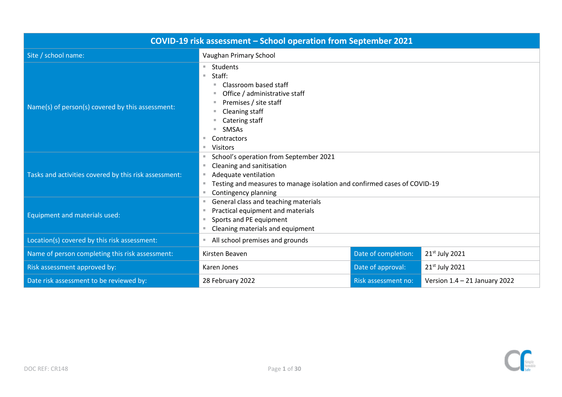| COVID-19 risk assessment - School operation from September 2021 |                                                                                                                                                                                                             |                     |                                 |  |  |
|-----------------------------------------------------------------|-------------------------------------------------------------------------------------------------------------------------------------------------------------------------------------------------------------|---------------------|---------------------------------|--|--|
| Site / school name:                                             | Vaughan Primary School                                                                                                                                                                                      |                     |                                 |  |  |
| Name(s) of person(s) covered by this assessment:                | Students<br>Staff:<br>×.<br>Classroom based staff<br>ш<br>Office / administrative staff<br>Premises / site staff<br>Cleaning staff<br>Catering staff<br><b>SMSAs</b><br>Contractors<br><b>Visitors</b><br>٠ |                     |                                 |  |  |
| Tasks and activities covered by this risk assessment:           | School's operation from September 2021<br>Cleaning and sanitisation<br>Adequate ventilation<br>ш<br>Testing and measures to manage isolation and confirmed cases of COVID-19<br>Contingency planning        |                     |                                 |  |  |
| <b>Equipment and materials used:</b>                            | General class and teaching materials<br>٠<br>Practical equipment and materials<br>Sports and PE equipment<br>Cleaning materials and equipment                                                               |                     |                                 |  |  |
| Location(s) covered by this risk assessment:                    | All school premises and grounds                                                                                                                                                                             |                     |                                 |  |  |
| Name of person completing this risk assessment:                 | Kirsten Beaven                                                                                                                                                                                              | Date of completion: | 21st July 2021                  |  |  |
| Risk assessment approved by:                                    | Karen Jones                                                                                                                                                                                                 | Date of approval:   | 21 <sup>st</sup> July 2021      |  |  |
| Date risk assessment to be reviewed by:                         | 28 February 2022                                                                                                                                                                                            | Risk assessment no: | Version $1.4 - 21$ January 2022 |  |  |

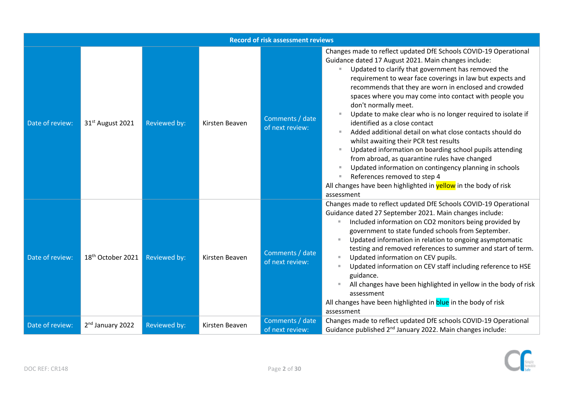|                 | <b>Record of risk assessment reviews</b> |              |                |                                    |                                                                                                                                                                                                                                                                                                                                                                                                                                                                                                                                                                                                                                                                                                                                                                                                                                                                                             |  |  |  |
|-----------------|------------------------------------------|--------------|----------------|------------------------------------|---------------------------------------------------------------------------------------------------------------------------------------------------------------------------------------------------------------------------------------------------------------------------------------------------------------------------------------------------------------------------------------------------------------------------------------------------------------------------------------------------------------------------------------------------------------------------------------------------------------------------------------------------------------------------------------------------------------------------------------------------------------------------------------------------------------------------------------------------------------------------------------------|--|--|--|
| Date of review: | 31 <sup>st</sup> August 2021             | Reviewed by: | Kirsten Beaven | Comments / date<br>of next review: | Changes made to reflect updated DfE Schools COVID-19 Operational<br>Guidance dated 17 August 2021. Main changes include:<br>Updated to clarify that government has removed the<br>requirement to wear face coverings in law but expects and<br>recommends that they are worn in enclosed and crowded<br>spaces where you may come into contact with people you<br>don't normally meet.<br>Update to make clear who is no longer required to isolate if<br>identified as a close contact<br>Added additional detail on what close contacts should do<br>whilst awaiting their PCR test results<br>Updated information on boarding school pupils attending<br>from abroad, as quarantine rules have changed<br>Updated information on contingency planning in schools<br>References removed to step 4<br>All changes have been highlighted in <b>yellow</b> in the body of risk<br>assessment |  |  |  |
| Date of review: | 18 <sup>th</sup> October 2021            | Reviewed by: | Kirsten Beaven | Comments / date<br>of next review: | Changes made to reflect updated DfE Schools COVID-19 Operational<br>Guidance dated 27 September 2021. Main changes include:<br>Included information on CO2 monitors being provided by<br>government to state funded schools from September.<br>Updated information in relation to ongoing asymptomatic<br>testing and removed references to summer and start of term.<br>Updated information on CEV pupils.<br>Updated information on CEV staff including reference to HSE<br>guidance.<br>All changes have been highlighted in yellow in the body of risk<br>assessment<br>All changes have been highlighted in blue in the body of risk<br>assessment                                                                                                                                                                                                                                     |  |  |  |
| Date of review: | 2 <sup>nd</sup> January 2022             | Reviewed by: | Kirsten Beaven | Comments / date<br>of next review: | Changes made to reflect updated DfE schools COVID-19 Operational<br>Guidance published 2 <sup>nd</sup> January 2022. Main changes include:                                                                                                                                                                                                                                                                                                                                                                                                                                                                                                                                                                                                                                                                                                                                                  |  |  |  |

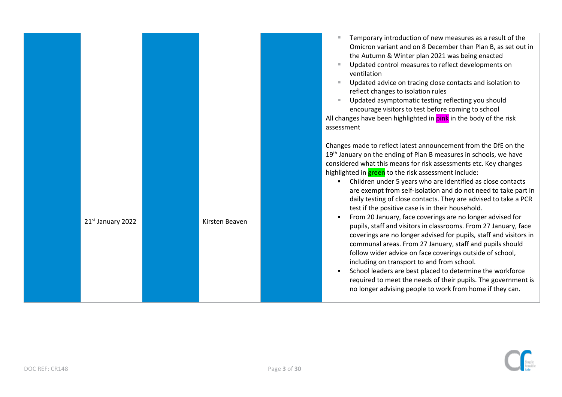|                   |                | Temporary introduction of new measures as a result of the<br>Omicron variant and on 8 December than Plan B, as set out in<br>the Autumn & Winter plan 2021 was being enacted<br>Updated control measures to reflect developments on<br>ventilation<br>Updated advice on tracing close contacts and isolation to<br>reflect changes to isolation rules<br>Updated asymptomatic testing reflecting you should<br>encourage visitors to test before coming to school<br>All changes have been highlighted in pink in the body of the risk<br>assessment                                                                                                                                                                                                                                                                                                                                                                                                                                                                                                                                                 |
|-------------------|----------------|------------------------------------------------------------------------------------------------------------------------------------------------------------------------------------------------------------------------------------------------------------------------------------------------------------------------------------------------------------------------------------------------------------------------------------------------------------------------------------------------------------------------------------------------------------------------------------------------------------------------------------------------------------------------------------------------------------------------------------------------------------------------------------------------------------------------------------------------------------------------------------------------------------------------------------------------------------------------------------------------------------------------------------------------------------------------------------------------------|
| 21st January 2022 | Kirsten Beaven | Changes made to reflect latest announcement from the DfE on the<br>19th January on the ending of Plan B measures in schools, we have<br>considered what this means for risk assessments etc. Key changes<br>highlighted in <b>green</b> to the risk assessment include:<br>Children under 5 years who are identified as close contacts<br>are exempt from self-isolation and do not need to take part in<br>daily testing of close contacts. They are advised to take a PCR<br>test if the positive case is in their household.<br>From 20 January, face coverings are no longer advised for<br>pupils, staff and visitors in classrooms. From 27 January, face<br>coverings are no longer advised for pupils, staff and visitors in<br>communal areas. From 27 January, staff and pupils should<br>follow wider advice on face coverings outside of school,<br>including on transport to and from school.<br>School leaders are best placed to determine the workforce<br>required to meet the needs of their pupils. The government is<br>no longer advising people to work from home if they can. |

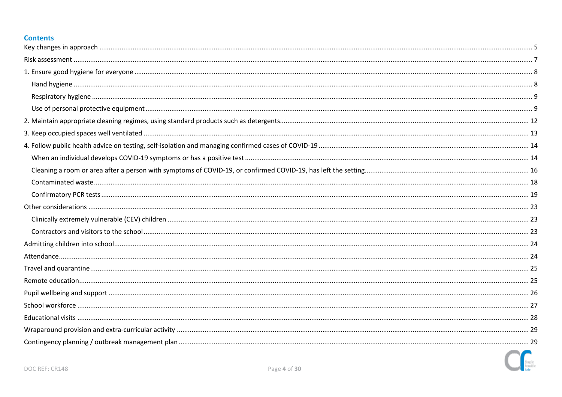# **Contents**

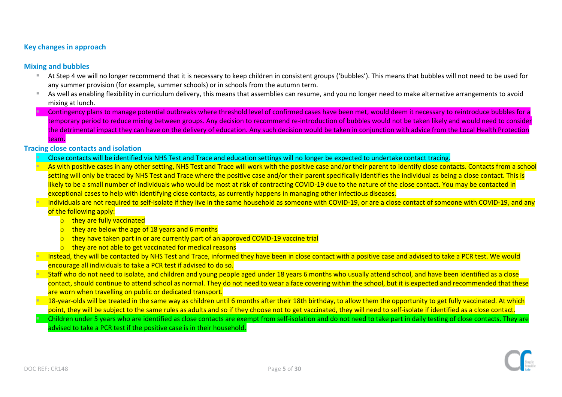# <span id="page-4-0"></span>**Key changes in approach**

## **Mixing and bubbles**

- At Step 4 we will no longer recommend that it is necessary to keep children in consistent groups ('bubbles'). This means that bubbles will not need to be used for any summer provision (for example, summer schools) or in schools from the autumn term.
- As well as enabling flexibility in curriculum delivery, this means that assemblies can resume, and you no longer need to make alternative arrangements to avoid mixing at lunch.
	- Contingency plans to manage potential outbreaks where threshold level of confirmed cases have been met, would deem it necessary to reintroduce bubbles for a temporary period to reduce mixing between groups. Any decision to recommend re-introduction of bubbles would not be taken likely and would need to consider the detrimental impact they can have on the delivery of education. Any such decision would be taken in conjunction with advice from the Local Health Protection team.

#### **Tracing close contacts and isolation**

- Close contacts will be identified via NHS Test and Trace and education settings will no longer be expected to undertake contact tracing.
- As with positive cases in any other setting. NHS Test and Trace will work with the positive case and/or their parent to identify close contacts. Contacts from a school setting will only be traced by NHS Test and Trace where the positive case and/or their parent specifically identifies the individual as being a close contact. This is likely to be a small number of individuals who would be most at risk of contracting COVID-19 due to the nature of the close contact. You may be contacted in exceptional cases to help with identifying close contacts, as currently happens in managing other infectious diseases.
- Individuals are not required to self-isolate if they live in the same household as someone with COVID-19, or are a close contact of someone with COVID-19, and any

# of the following apply:

- o they are fully vaccinated
- $\circ$  they are below the age of 18 years and 6 months
- $\circ$  they have taken part in or are currently part of an approved COVID-19 vaccine trial
- $\circ$  they are not able to get vaccinated for medical reasons
- Instead, they will be contacted by NHS Test and Trace, informed they have been in close contact with a positive case and advised to take a PCR test. We would encourage all individuals to take a PCR test if advised to do so.
- Staff who do not need to isolate, and children and young people aged under 18 years 6 months who usually attend school, and have been identified as a close contact, should continue to attend school as normal. They do not need to wear a face covering within the school, but it is expected and recommended that these are worn when travelling on public or dedicated transport.
- 18-year-olds will be treated in the same way as children until 6 months after their 18th birthday, to allow them the opportunity to get fully vaccinated. At which point, they will be subject to the same rules as adults and so if they choose not to get vaccinated, they will need to self-isolate if identified as a close contact.
- Children under 5 years who are identified as close contacts are exempt from self-isolation and do not need to take part in daily testing of close contacts. They are advised to take a PCR test if the positive case is in their household.

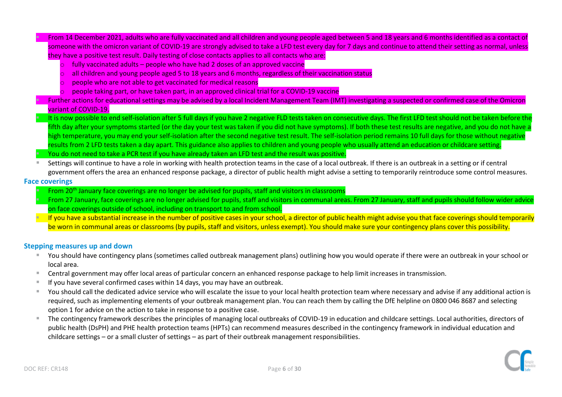▪ From 14 December 2021, adults who are fully vaccinated and all children and young people aged between 5 and 18 years and 6 months identified as a contact of someone with the omicron variant of COVID-19 are strongly advised to take a LFD test every day for 7 days and continue to attend their setting as normal, unless they have a positive test result. Daily testing of close contacts applies to all contacts who are:

- $\circ$  fully vaccinated adults people who have had 2 doses of an approved vaccine
- o all children and young people aged 5 to 18 years and 6 months, regardless of their vaccination status
- $\circ$  people who are not able to get vaccinated for medical reasons
- o people taking part, or have taken part, in an approved clinical trial for a COVID-19 vaccine
- Further actions for educational settings may be advised by a local Incident Management Team (IMT) investigating a suspected or confirmed case of the Omicron variant of COVID-19.
- It is now possible to end self-isolation after 5 full days if you have 2 negative FLD tests taken on consecutive days. The first LFD test should not be taken before the fifth day after your symptoms started (or the day your test was taken if you did not have symptoms). If both these test results are negative, and you do not have a high temperature, you may end your self-isolation after the second negative test result. The self-isolation period remains 10 full days for those without negative results from 2 LFD tests taken a day apart. This guidance also applies to children and young people who usually attend an education or childcare setting. You do not need to take a PCR test if you have already taken an LFD test and the result was positive.
- Settings will continue to have a role in working with health protection teams in the case of a local outbreak. If there is an outbreak in a setting or if central government offers the area an enhanced response package, a director of public health might advise a setting to temporarily reintroduce some control measures.

## **Face coverings**

- From 20th January face coverings are no longer be advised for pupils, staff and visitors in classrooms
- From 27 January, face coverings are no longer advised for pupils, staff and visitors in communal areas. From 27 January, staff and pupils should follow wider advice on face coverings outside of school, including on transport to and from school.
- If you have a substantial increase in the number of positive cases in your school, a director of public health might advise you that face coverings should temporarily be worn in communal areas or classrooms (by pupils, staff and visitors, unless exempt). You should make sure your contingency plans cover this possibility.

## **Stepping measures up and down**

- You should have contingency plans (sometimes called outbreak management plans) outlining how you would operate if there were an outbreak in your school or local area.
- Central government may offer local areas of particular concern an enhanced response package to help limit increases in transmission.
- If you have several confirmed cases within 14 days, you may have an outbreak.
- You should call the dedicated advice service who will escalate the issue to your local health protection team where necessary and advise if any additional action is required, such as implementing elements of your outbreak management plan. You can reach them by calling the DfE helpline on 0800 046 8687 and selecting option 1 for advice on the action to take in response to a positive case.
- The contingency framework describes the principles of managing local outbreaks of COVID-19 in education and childcare settings. Local authorities, directors of public health (DsPH) and PHE health protection teams (HPTs) can recommend measures described in the contingency framework in individual education and childcare settings – or a small cluster of settings – as part of their outbreak management responsibilities.

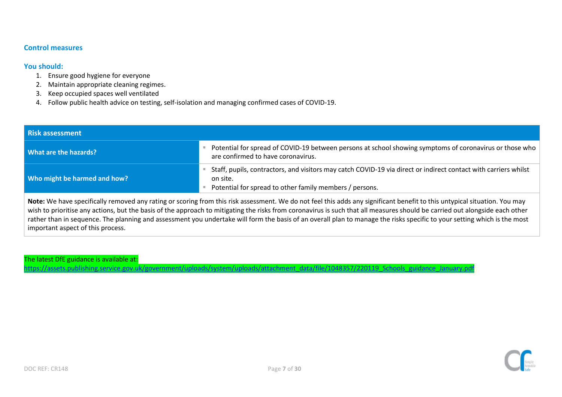# **Control measures**

## **You should:**

- 1. Ensure good hygiene for everyone
- 2. Maintain appropriate cleaning regimes.
- 3. Keep occupied spaces well ventilated
- 4. Follow public health advice on testing, self-isolation and managing confirmed cases of COVID-19.

<span id="page-6-0"></span>

| <b>Risk assessment</b>       |                                                                                                                                                                                                                                                                                                                                                          |  |  |  |  |
|------------------------------|----------------------------------------------------------------------------------------------------------------------------------------------------------------------------------------------------------------------------------------------------------------------------------------------------------------------------------------------------------|--|--|--|--|
| What are the hazards?        | Potential for spread of COVID-19 between persons at school showing symptoms of coronavirus or those who<br>are confirmed to have coronavirus.                                                                                                                                                                                                            |  |  |  |  |
| Who might be harmed and how? | Staff, pupils, contractors, and visitors may catch COVID-19 via direct or indirect contact with carriers whilst<br>on site.<br>Potential for spread to other family members / persons.                                                                                                                                                                   |  |  |  |  |
|                              | Note: We have specifically removed any rating or scoring from this risk assessment. We do not feel this adds any significant benefit to this untypical situation. You may<br>wish to prioritise any actions, but the basis of the approach to mitigating the risks from coronavirus is such that all measures should be carried out alongside each other |  |  |  |  |

rather than in sequence. The planning and assessment you undertake will form the basis of an overall plan to manage the risks specific to your setting which is the most important aspect of this process.

The latest DfE guidance is available at: [https://assets.publishing.service.gov.uk/government/uploads/system/uploads/attachment\\_data/file/1048357/220119\\_Schools\\_guidance\\_January.pdf](https://assets.publishing.service.gov.uk/government/uploads/system/uploads/attachment_data/file/1048357/220119_Schools_guidance_January.pdf)

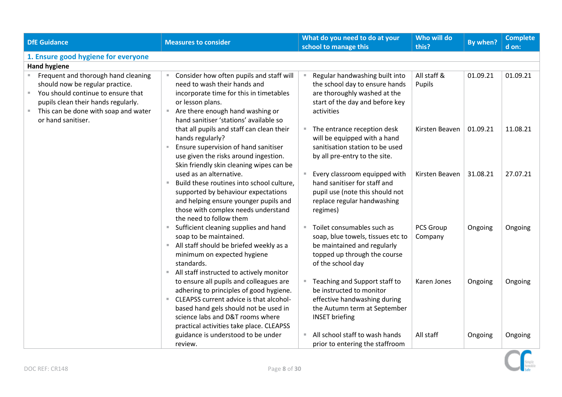<span id="page-7-1"></span><span id="page-7-0"></span>

| <b>DfE Guidance</b>                                                                                                                                                                                                     | <b>Measures to consider</b>                                                                                                                                                                                                                            | What do you need to do at your<br>school to manage this                                                                                             | Who will do<br>this?        | By when? | <b>Complete</b><br>d on: |
|-------------------------------------------------------------------------------------------------------------------------------------------------------------------------------------------------------------------------|--------------------------------------------------------------------------------------------------------------------------------------------------------------------------------------------------------------------------------------------------------|-----------------------------------------------------------------------------------------------------------------------------------------------------|-----------------------------|----------|--------------------------|
| 1. Ensure good hygiene for everyone                                                                                                                                                                                     |                                                                                                                                                                                                                                                        |                                                                                                                                                     |                             |          |                          |
| <b>Hand hygiene</b>                                                                                                                                                                                                     |                                                                                                                                                                                                                                                        |                                                                                                                                                     |                             |          |                          |
| Frequent and thorough hand cleaning<br>should now be regular practice.<br>You should continue to ensure that<br>m.<br>pupils clean their hands regularly.<br>This can be done with soap and water<br>or hand sanitiser. | Consider how often pupils and staff will<br>need to wash their hands and<br>incorporate time for this in timetables<br>or lesson plans.<br>■ Are there enough hand washing or<br>hand sanitiser 'stations' available so                                | Regular handwashing built into<br>the school day to ensure hands<br>are thoroughly washed at the<br>start of the day and before key<br>activities   | All staff &<br>Pupils       | 01.09.21 | 01.09.21                 |
|                                                                                                                                                                                                                         | that all pupils and staff can clean their<br>hands regularly?<br>Ensure supervision of hand sanitiser<br>use given the risks around ingestion.<br>Skin friendly skin cleaning wipes can be                                                             | The entrance reception desk<br>will be equipped with a hand<br>sanitisation station to be used<br>by all pre-entry to the site.                     | Kirsten Beaven              | 01.09.21 | 11.08.21                 |
|                                                                                                                                                                                                                         | used as an alternative.<br>Build these routines into school culture,<br>$\mathcal{M}$<br>supported by behaviour expectations<br>and helping ensure younger pupils and<br>those with complex needs understand<br>the need to follow them                | Every classroom equipped with<br>hand sanitiser for staff and<br>pupil use (note this should not<br>replace regular handwashing<br>regimes)         | Kirsten Beaven              | 31.08.21 | 27.07.21                 |
|                                                                                                                                                                                                                         | Sufficient cleaning supplies and hand<br>soap to be maintained.<br>All staff should be briefed weekly as a<br>minimum on expected hygiene<br>standards.<br>All staff instructed to actively monitor<br>×.                                              | Toilet consumables such as<br>soap, blue towels, tissues etc to<br>be maintained and regularly<br>topped up through the course<br>of the school day | <b>PCS Group</b><br>Company | Ongoing  | Ongoing                  |
|                                                                                                                                                                                                                         | to ensure all pupils and colleagues are<br>adhering to principles of good hygiene.<br>CLEAPSS current advice is that alcohol-<br>based hand gels should not be used in<br>science labs and D&T rooms where<br>practical activities take place. CLEAPSS | Teaching and Support staff to<br>be instructed to monitor<br>effective handwashing during<br>the Autumn term at September<br><b>INSET briefing</b>  | Karen Jones                 | Ongoing  | Ongoing                  |
|                                                                                                                                                                                                                         | guidance is understood to be under<br>review.                                                                                                                                                                                                          | All school staff to wash hands<br>prior to entering the staffroom                                                                                   | All staff                   | Ongoing  | Ongoing                  |

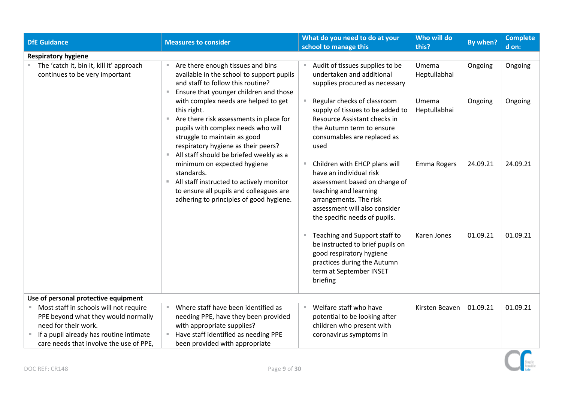<span id="page-8-1"></span><span id="page-8-0"></span>

| <b>DfE Guidance</b>                                                                                                                                                                         | <b>Measures to consider</b>                                                                                                                                                                                                                            | What do you need to do at your<br>school to manage this                                                                                                                                                        | Who will do<br>this?  | By when? | <b>Complete</b><br>d on: |
|---------------------------------------------------------------------------------------------------------------------------------------------------------------------------------------------|--------------------------------------------------------------------------------------------------------------------------------------------------------------------------------------------------------------------------------------------------------|----------------------------------------------------------------------------------------------------------------------------------------------------------------------------------------------------------------|-----------------------|----------|--------------------------|
| <b>Respiratory hygiene</b>                                                                                                                                                                  |                                                                                                                                                                                                                                                        |                                                                                                                                                                                                                |                       |          |                          |
| The 'catch it, bin it, kill it' approach<br>continues to be very important                                                                                                                  | Are there enough tissues and bins<br>available in the school to support pupils<br>and staff to follow this routine?<br>Ensure that younger children and those<br>٠                                                                                     | Audit of tissues supplies to be<br>undertaken and additional<br>supplies procured as necessary                                                                                                                 | Umema<br>Heptullabhai | Ongoing  | Ongoing                  |
|                                                                                                                                                                                             | with complex needs are helped to get<br>this right.<br>Are there risk assessments in place for<br>pupils with complex needs who will<br>struggle to maintain as good<br>respiratory hygiene as their peers?<br>All staff should be briefed weekly as a | Regular checks of classroom<br>supply of tissues to be added to<br>Resource Assistant checks in<br>the Autumn term to ensure<br>consumables are replaced as<br>used                                            | Umema<br>Heptullabhai | Ongoing  | Ongoing                  |
|                                                                                                                                                                                             | minimum on expected hygiene<br>standards.<br>All staff instructed to actively monitor<br>m.<br>to ensure all pupils and colleagues are<br>adhering to principles of good hygiene.                                                                      | Children with EHCP plans will<br>have an individual risk<br>assessment based on change of<br>teaching and learning<br>arrangements. The risk<br>assessment will also consider<br>the specific needs of pupils. | Emma Rogers           | 24.09.21 | 24.09.21                 |
|                                                                                                                                                                                             |                                                                                                                                                                                                                                                        | Teaching and Support staff to<br>ш<br>be instructed to brief pupils on<br>good respiratory hygiene<br>practices during the Autumn<br>term at September INSET<br>briefing                                       | Karen Jones           | 01.09.21 | 01.09.21                 |
| Use of personal protective equipment                                                                                                                                                        |                                                                                                                                                                                                                                                        |                                                                                                                                                                                                                |                       |          |                          |
| Most staff in schools will not require<br>PPE beyond what they would normally<br>need for their work.<br>If a pupil already has routine intimate<br>care needs that involve the use of PPE, | Where staff have been identified as<br>needing PPE, have they been provided<br>with appropriate supplies?<br>Have staff identified as needing PPE<br>been provided with appropriate                                                                    | Welfare staff who have<br>potential to be looking after<br>children who present with<br>coronavirus symptoms in                                                                                                | Kirsten Beaven        | 01.09.21 | 01.09.21                 |

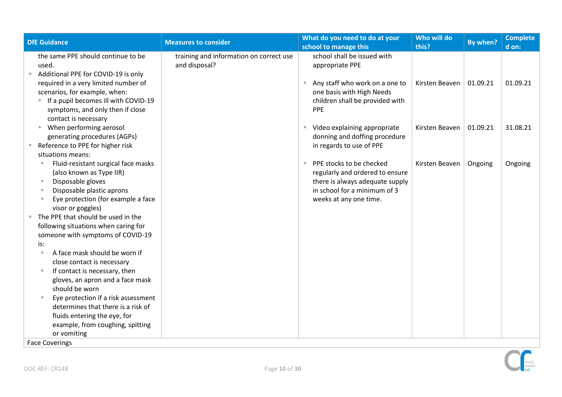| <b>DfE Guidance</b>                                                                                                                                                                                                                                                                                                                                                                              | <b>Measures to consider</b>                              | What do you need to do at your<br>school to manage this                                                                                                  | Who will do<br>this? | By when? | <b>Complete</b><br>d on: |
|--------------------------------------------------------------------------------------------------------------------------------------------------------------------------------------------------------------------------------------------------------------------------------------------------------------------------------------------------------------------------------------------------|----------------------------------------------------------|----------------------------------------------------------------------------------------------------------------------------------------------------------|----------------------|----------|--------------------------|
| the same PPE should continue to be<br>used.<br>Additional PPE for COVID-19 is only                                                                                                                                                                                                                                                                                                               | training and information on correct use<br>and disposal? | school shall be issued with<br>appropriate PPE                                                                                                           |                      |          |                          |
| required in a very limited number of<br>scenarios, for example, when:<br>If a pupil becomes ill with COVID-19<br>$\blacksquare$<br>symptoms, and only then if close<br>contact is necessary                                                                                                                                                                                                      |                                                          | Any staff who work on a one to<br>one basis with High Needs<br>children shall be provided with<br>PPE                                                    | Kirsten Beaven       | 01.09.21 | 01.09.21                 |
| When performing aerosol<br>$\blacksquare$<br>generating procedures (AGPs)<br>Reference to PPE for higher risk                                                                                                                                                                                                                                                                                    |                                                          | ■ Video explaining appropriate<br>donning and doffing procedure<br>in regards to use of PPE                                                              | Kirsten Beaven       | 01.09.21 | 31.08.21                 |
| situations means:<br>Fluid-resistant surgical face masks<br>(also known as Type IIR)<br>Disposable gloves<br>m,<br>Disposable plastic aprons<br>Eye protection (for example a face<br>visor or goggles)<br>The PPE that should be used in the<br>following situations when caring for<br>someone with symptoms of COVID-19<br>is:<br>A face mask should be worn if<br>close contact is necessary |                                                          | PPE stocks to be checked<br>regularly and ordered to ensure<br>there is always adequate supply<br>in school for a minimum of 3<br>weeks at any one time. | Kirsten Beaven       | Ongoing  | Ongoing                  |
| If contact is necessary, then<br>gloves, an apron and a face mask<br>should be worn                                                                                                                                                                                                                                                                                                              |                                                          |                                                                                                                                                          |                      |          |                          |
| Eye protection if a risk assessment<br>determines that there is a risk of<br>fluids entering the eye, for<br>example, from coughing, spitting<br>or vomiting                                                                                                                                                                                                                                     |                                                          |                                                                                                                                                          |                      |          |                          |
| <b>Face Coverings</b>                                                                                                                                                                                                                                                                                                                                                                            |                                                          |                                                                                                                                                          |                      |          |                          |

 $\bigcap$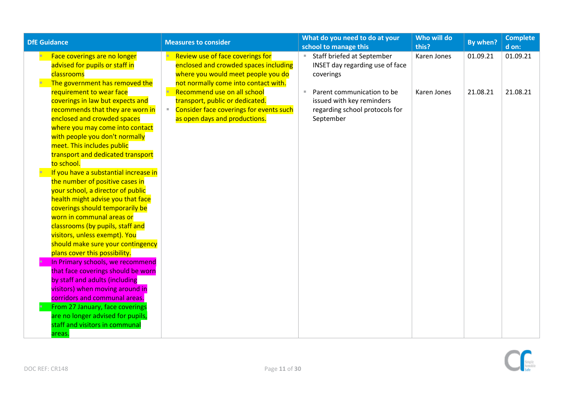| <b>DfE Guidance</b>                                                                                                                                                                                                                                                                                                                                                                                                                                                                                                                                                                                                                                                                                 | <b>Measures to consider</b>                                                                                                                                                                                                                                                                           | What do you need to do at your<br>school to manage this                                                                                                                                                | Who will do<br>this?       | By when?             | <b>Complete</b><br>d on: |
|-----------------------------------------------------------------------------------------------------------------------------------------------------------------------------------------------------------------------------------------------------------------------------------------------------------------------------------------------------------------------------------------------------------------------------------------------------------------------------------------------------------------------------------------------------------------------------------------------------------------------------------------------------------------------------------------------------|-------------------------------------------------------------------------------------------------------------------------------------------------------------------------------------------------------------------------------------------------------------------------------------------------------|--------------------------------------------------------------------------------------------------------------------------------------------------------------------------------------------------------|----------------------------|----------------------|--------------------------|
| Face coverings are no longer<br>advised for pupils or staff in<br>classrooms<br>The government has removed the<br>requirement to wear face<br>coverings in law but expects and<br>recommends that they are worn in<br>enclosed and crowded spaces<br>where you may come into contact                                                                                                                                                                                                                                                                                                                                                                                                                | Review use of face coverings for<br>enclosed and crowded spaces including<br>where you would meet people you do<br>not normally come into contact with.<br>Recommend use on all school<br>transport, public or dedicated.<br>Consider face coverings for events such<br>as open days and productions. | Staff briefed at September<br>×<br>INSET day regarding use of face<br>coverings<br>Parent communication to be<br><b>II</b><br>issued with key reminders<br>regarding school protocols for<br>September | Karen Jones<br>Karen Jones | 01.09.21<br>21.08.21 | 01.09.21<br>21.08.21     |
| with people you don't normally<br>meet. This includes public<br>transport and dedicated transport<br>to school.<br>If you have a substantial increase in<br>the number of positive cases in<br>your school, a director of public<br>health might advise you that face<br>coverings should temporarily be<br>worn in communal areas or<br>classrooms (by pupils, staff and<br>visitors, unless exempt). You<br>should make sure your contingency<br>plans cover this possibility.<br>In Primary schools, we recommend<br>that face coverings should be worn<br>by staff and adults (including<br>visitors) when moving around in<br>corridors and communal areas.<br>From 27 January, face coverings |                                                                                                                                                                                                                                                                                                       |                                                                                                                                                                                                        |                            |                      |                          |
| are no longer advised for pupils,<br>staff and visitors in communal<br>areas.                                                                                                                                                                                                                                                                                                                                                                                                                                                                                                                                                                                                                       |                                                                                                                                                                                                                                                                                                       |                                                                                                                                                                                                        |                            |                      |                          |

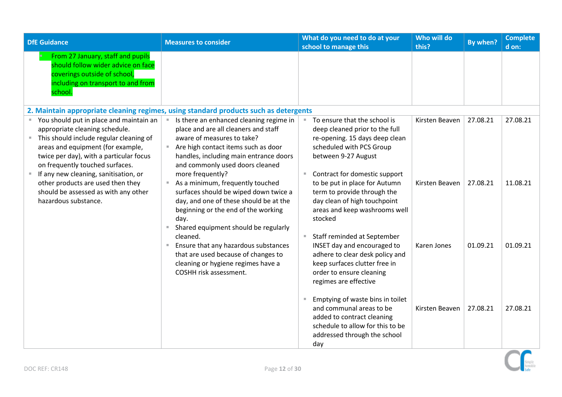<span id="page-11-0"></span>

| <b>DfE Guidance</b>                                                                                                                                                                                                                                                                                                                                                                     | <b>Measures to consider</b>                                                                                                                                                                                                                                                                                                                                                                                                                                         | What do you need to do at your<br>school to manage this                                                                                                                                                                                                                                                                                            | Who will do<br>this?             | By when?             | <b>Complete</b><br>d on: |
|-----------------------------------------------------------------------------------------------------------------------------------------------------------------------------------------------------------------------------------------------------------------------------------------------------------------------------------------------------------------------------------------|---------------------------------------------------------------------------------------------------------------------------------------------------------------------------------------------------------------------------------------------------------------------------------------------------------------------------------------------------------------------------------------------------------------------------------------------------------------------|----------------------------------------------------------------------------------------------------------------------------------------------------------------------------------------------------------------------------------------------------------------------------------------------------------------------------------------------------|----------------------------------|----------------------|--------------------------|
| From 27 January, staff and pupils<br>should follow wider advice on face<br>coverings outside of school,<br>including on transport to and from<br>school.                                                                                                                                                                                                                                |                                                                                                                                                                                                                                                                                                                                                                                                                                                                     |                                                                                                                                                                                                                                                                                                                                                    |                                  |                      |                          |
|                                                                                                                                                                                                                                                                                                                                                                                         | 2. Maintain appropriate cleaning regimes, using standard products such as detergents                                                                                                                                                                                                                                                                                                                                                                                |                                                                                                                                                                                                                                                                                                                                                    |                                  |                      |                          |
| " You should put in place and maintain an<br>appropriate cleaning schedule.<br>This should include regular cleaning of<br>areas and equipment (for example,<br>twice per day), with a particular focus<br>on frequently touched surfaces.<br>If any new cleaning, sanitisation, or<br>other products are used then they<br>should be assessed as with any other<br>hazardous substance. | Is there an enhanced cleaning regime in<br>place and are all cleaners and staff<br>aware of measures to take?<br>Are high contact items such as door<br>handles, including main entrance doors<br>and commonly used doors cleaned<br>more frequently?<br>As a minimum, frequently touched<br>surfaces should be wiped down twice a<br>day, and one of these should be at the<br>beginning or the end of the working<br>day.<br>Shared equipment should be regularly | To ensure that the school is<br>deep cleaned prior to the full<br>re-opening. 15 days deep clean<br>scheduled with PCS Group<br>between 9-27 August<br>Contract for domestic support<br>$\mathbb{R}^+$<br>to be put in place for Autumn<br>term to provide through the<br>day clean of high touchpoint<br>areas and keep washrooms well<br>stocked | Kirsten Beaven<br>Kirsten Beaven | 27.08.21<br>27.08.21 | 27.08.21<br>11.08.21     |
|                                                                                                                                                                                                                                                                                                                                                                                         | cleaned.<br>Ensure that any hazardous substances<br>that are used because of changes to<br>cleaning or hygiene regimes have a<br>COSHH risk assessment.                                                                                                                                                                                                                                                                                                             | Staff reminded at September<br>INSET day and encouraged to<br>adhere to clear desk policy and<br>keep surfaces clutter free in<br>order to ensure cleaning<br>regimes are effective<br>Emptying of waste bins in toilet                                                                                                                            | Karen Jones                      | 01.09.21             | 01.09.21                 |
|                                                                                                                                                                                                                                                                                                                                                                                         |                                                                                                                                                                                                                                                                                                                                                                                                                                                                     | and communal areas to be<br>added to contract cleaning<br>schedule to allow for this to be<br>addressed through the school<br>day                                                                                                                                                                                                                  | Kirsten Beaven                   | 27.08.21             | 27.08.21                 |

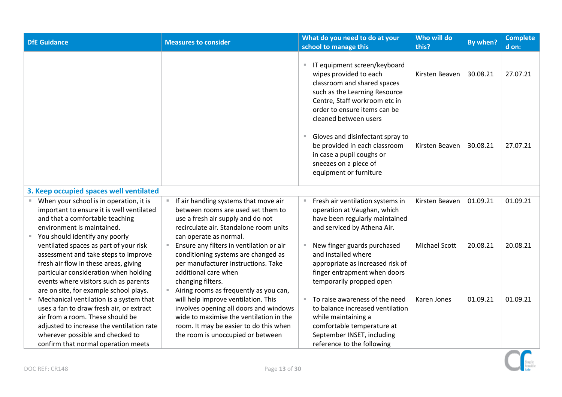<span id="page-12-0"></span>

| <b>DfE</b> Guidance                                                                                                                                                                                                                                 | <b>Measures to consider</b>                                                                                                                                                                                                     | What do you need to do at your<br>school to manage this                                                                                                                                                          | Who will do<br>this? | By when? | <b>Complete</b><br>d on: |
|-----------------------------------------------------------------------------------------------------------------------------------------------------------------------------------------------------------------------------------------------------|---------------------------------------------------------------------------------------------------------------------------------------------------------------------------------------------------------------------------------|------------------------------------------------------------------------------------------------------------------------------------------------------------------------------------------------------------------|----------------------|----------|--------------------------|
|                                                                                                                                                                                                                                                     |                                                                                                                                                                                                                                 | IT equipment screen/keyboard<br>wipes provided to each<br>classroom and shared spaces<br>such as the Learning Resource<br>Centre, Staff workroom etc in<br>order to ensure items can be<br>cleaned between users | Kirsten Beaven       | 30.08.21 | 27.07.21                 |
|                                                                                                                                                                                                                                                     |                                                                                                                                                                                                                                 | Gloves and disinfectant spray to<br>ш<br>be provided in each classroom<br>in case a pupil coughs or<br>sneezes on a piece of<br>equipment or furniture                                                           | Kirsten Beaven       | 30.08.21 | 27.07.21                 |
| 3. Keep occupied spaces well ventilated                                                                                                                                                                                                             |                                                                                                                                                                                                                                 |                                                                                                                                                                                                                  |                      |          |                          |
| When your school is in operation, it is<br>important to ensure it is well ventilated<br>and that a comfortable teaching<br>environment is maintained.<br>You should identify any poorly                                                             | If air handling systems that move air<br>between rooms are used set them to<br>use a fresh air supply and do not<br>recirculate air. Standalone room units<br>can operate as normal.                                            | Fresh air ventilation systems in<br>operation at Vaughan, which<br>have been regularly maintained<br>and serviced by Athena Air.                                                                                 | Kirsten Beaven       | 01.09.21 | 01.09.21                 |
| ventilated spaces as part of your risk<br>assessment and take steps to improve<br>fresh air flow in these areas, giving<br>particular consideration when holding<br>events where visitors such as parents<br>are on site, for example school plays. | Ensure any filters in ventilation or air<br>$\blacksquare$<br>conditioning systems are changed as<br>per manufacturer instructions. Take<br>additional care when<br>changing filters.<br>Airing rooms as frequently as you can, | New finger guards purchased<br>and installed where<br>appropriate as increased risk of<br>finger entrapment when doors<br>temporarily propped open                                                               | Michael Scott        | 20.08.21 | 20.08.21                 |
| Mechanical ventilation is a system that<br>uses a fan to draw fresh air, or extract<br>air from a room. These should be<br>adjusted to increase the ventilation rate<br>wherever possible and checked to<br>confirm that normal operation meets     | will help improve ventilation. This<br>involves opening all doors and windows<br>wide to maximise the ventilation in the<br>room. It may be easier to do this when<br>the room is unoccupied or between                         | To raise awareness of the need<br>to balance increased ventilation<br>while maintaining a<br>comfortable temperature at<br>September INSET, including<br>reference to the following                              | Karen Jones          | 01.09.21 | 01.09.21                 |

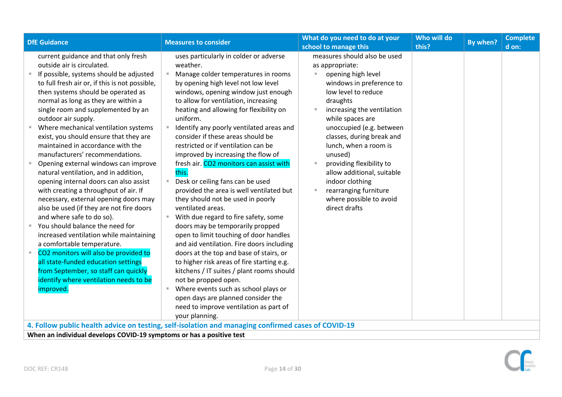| <b>DfE Guidance</b>                                                                                                                                                                                                                                    | <b>Measures to consider</b>                                                                        | What do you need to do at your             | Who will do | By when? | <b>Complete</b> |
|--------------------------------------------------------------------------------------------------------------------------------------------------------------------------------------------------------------------------------------------------------|----------------------------------------------------------------------------------------------------|--------------------------------------------|-------------|----------|-----------------|
|                                                                                                                                                                                                                                                        |                                                                                                    | school to manage this                      | this?       |          | d on:           |
| current guidance and that only fresh                                                                                                                                                                                                                   | uses particularly in colder or adverse                                                             | measures should also be used               |             |          |                 |
| outside air is circulated.                                                                                                                                                                                                                             | weather.                                                                                           | as appropriate:                            |             |          |                 |
| If possible, systems should be adjusted                                                                                                                                                                                                                | Manage colder temperatures in rooms                                                                | opening high level<br>×,                   |             |          |                 |
| to full fresh air or, if this is not possible,                                                                                                                                                                                                         | by opening high level not low level                                                                | windows in preference to                   |             |          |                 |
| then systems should be operated as                                                                                                                                                                                                                     | windows, opening window just enough                                                                | low level to reduce                        |             |          |                 |
| normal as long as they are within a                                                                                                                                                                                                                    | to allow for ventilation, increasing                                                               | draughts                                   |             |          |                 |
| single room and supplemented by an                                                                                                                                                                                                                     | heating and allowing for flexibility on                                                            | increasing the ventilation                 |             |          |                 |
| outdoor air supply.                                                                                                                                                                                                                                    | uniform.                                                                                           | while spaces are                           |             |          |                 |
| Where mechanical ventilation systems                                                                                                                                                                                                                   | Identify any poorly ventilated areas and                                                           | unoccupied (e.g. between                   |             |          |                 |
| exist, you should ensure that they are                                                                                                                                                                                                                 | consider if these areas should be                                                                  | classes, during break and                  |             |          |                 |
| maintained in accordance with the                                                                                                                                                                                                                      | restricted or if ventilation can be                                                                | lunch, when a room is                      |             |          |                 |
| manufacturers' recommendations.                                                                                                                                                                                                                        | improved by increasing the flow of                                                                 | unused)                                    |             |          |                 |
| Opening external windows can improve                                                                                                                                                                                                                   | fresh air. CO2 monitors can assist with                                                            | providing flexibility to<br>$\mathbb{R}^n$ |             |          |                 |
| natural ventilation, and in addition,                                                                                                                                                                                                                  | this.                                                                                              | allow additional, suitable                 |             |          |                 |
| opening internal doors can also assist                                                                                                                                                                                                                 | Desk or ceiling fans can be used                                                                   | indoor clothing                            |             |          |                 |
| with creating a throughput of air. If                                                                                                                                                                                                                  | provided the area is well ventilated but                                                           | rearranging furniture                      |             |          |                 |
| necessary, external opening doors may                                                                                                                                                                                                                  | they should not be used in poorly                                                                  | where possible to avoid                    |             |          |                 |
| also be used (if they are not fire doors                                                                                                                                                                                                               | ventilated areas.                                                                                  | direct drafts                              |             |          |                 |
| and where safe to do so).                                                                                                                                                                                                                              | ■ With due regard to fire safety, some                                                             |                                            |             |          |                 |
| You should balance the need for                                                                                                                                                                                                                        | doors may be temporarily propped                                                                   |                                            |             |          |                 |
| increased ventilation while maintaining                                                                                                                                                                                                                | open to limit touching of door handles                                                             |                                            |             |          |                 |
| a comfortable temperature.                                                                                                                                                                                                                             | and aid ventilation. Fire doors including                                                          |                                            |             |          |                 |
| CO2 monitors will also be provided to                                                                                                                                                                                                                  | doors at the top and base of stairs, or                                                            |                                            |             |          |                 |
| all state-funded education settings                                                                                                                                                                                                                    | to higher risk areas of fire starting e.g.                                                         |                                            |             |          |                 |
| from September, so staff can quickly                                                                                                                                                                                                                   | kitchens / IT suites / plant rooms should                                                          |                                            |             |          |                 |
| identify where ventilation needs to be                                                                                                                                                                                                                 | not be propped open.                                                                               |                                            |             |          |                 |
| improved.                                                                                                                                                                                                                                              | ■ Where events such as school plays or                                                             |                                            |             |          |                 |
|                                                                                                                                                                                                                                                        | open days are planned consider the                                                                 |                                            |             |          |                 |
|                                                                                                                                                                                                                                                        | need to improve ventilation as part of                                                             |                                            |             |          |                 |
|                                                                                                                                                                                                                                                        | your planning.                                                                                     |                                            |             |          |                 |
|                                                                                                                                                                                                                                                        | 4. Follow public health advice on testing, self-isolation and managing confirmed cases of COVID-19 |                                            |             |          |                 |
| $\mathcal{L} \times \mathcal{L}$ . The state of the state of $\mathcal{L}$ and $\mathcal{L}$ is a state of the state of the state of the state of the state of the state of the state of the state of the state of the state of the state of the state |                                                                                                    |                                            |             |          |                 |

<span id="page-13-1"></span><span id="page-13-0"></span>**When an individual develops COVID-19 symptoms or has a positive test**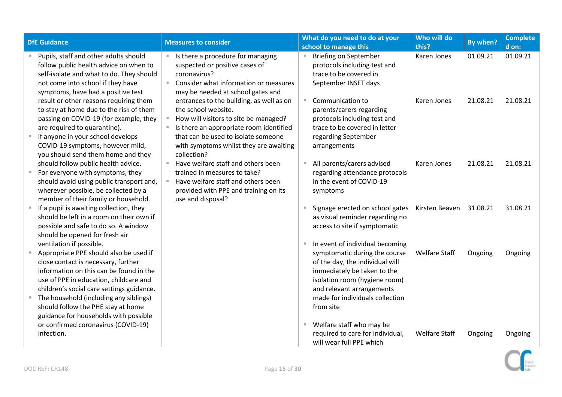| <b>DfE Guidance</b>                                                                                                                                                                                                                                                        |                | <b>Measures to consider</b>                                                                                                                                                                                                                         | What do you need to do at your<br>school to manage this                                                                                                       | Who will do<br>this? | By when? | <b>Complete</b><br>d on: |
|----------------------------------------------------------------------------------------------------------------------------------------------------------------------------------------------------------------------------------------------------------------------------|----------------|-----------------------------------------------------------------------------------------------------------------------------------------------------------------------------------------------------------------------------------------------------|---------------------------------------------------------------------------------------------------------------------------------------------------------------|----------------------|----------|--------------------------|
| Pupils, staff and other adults should<br>follow public health advice on when to<br>self-isolate and what to do. They should<br>not come into school if they have<br>symptoms, have had a positive test                                                                     |                | ■ Is there a procedure for managing<br>suspected or positive cases of<br>coronavirus?<br>Consider what information or measures<br>may be needed at school gates and                                                                                 | <b>Briefing on September</b><br>protocols including test and<br>trace to be covered in<br>September INSET days                                                | Karen Jones          | 01.09.21 | 01.09.21                 |
| result or other reasons requiring them<br>to stay at home due to the risk of them<br>passing on COVID-19 (for example, they<br>are required to quarantine).<br>If anyone in your school develops<br>COVID-19 symptoms, however mild,<br>you should send them home and they | $\mathbb{R}^+$ | entrances to the building, as well as on<br>the school website.<br>How will visitors to site be managed?<br>Is there an appropriate room identified<br>that can be used to isolate someone<br>with symptoms whilst they are awaiting<br>collection? | Communication to<br>parents/carers regarding<br>protocols including test and<br>trace to be covered in letter<br>regarding September<br>arrangements          | Karen Jones          | 21.08.21 | 21.08.21                 |
| should follow public health advice.<br>For everyone with symptoms, they<br>should avoid using public transport and,<br>wherever possible, be collected by a<br>member of their family or household.                                                                        |                | Have welfare staff and others been<br>trained in measures to take?<br>Have welfare staff and others been<br>provided with PPE and training on its<br>use and disposal?                                                                              | All parents/carers advised<br>regarding attendance protocols<br>in the event of COVID-19<br>symptoms                                                          | Karen Jones          | 21.08.21 | 21.08.21                 |
| If a pupil is awaiting collection, they<br>should be left in a room on their own if<br>possible and safe to do so. A window<br>should be opened for fresh air<br>ventilation if possible.                                                                                  |                |                                                                                                                                                                                                                                                     | Signage erected on school gates<br>as visual reminder regarding no<br>access to site if symptomatic<br>In event of individual becoming                        | Kirsten Beaven       | 31.08.21 | 31.08.21                 |
| Appropriate PPE should also be used if<br>close contact is necessary, further<br>information on this can be found in the<br>use of PPE in education, childcare and<br>children's social care settings guidance.                                                            |                |                                                                                                                                                                                                                                                     | symptomatic during the course<br>of the day, the individual will<br>immediately be taken to the<br>isolation room (hygiene room)<br>and relevant arrangements | <b>Welfare Staff</b> | Ongoing  | Ongoing                  |
| The household (including any siblings)<br>should follow the PHE stay at home<br>guidance for households with possible<br>or confirmed coronavirus (COVID-19)                                                                                                               |                |                                                                                                                                                                                                                                                     | made for individuals collection<br>from site<br>Welfare staff who may be                                                                                      |                      |          |                          |
| infection.                                                                                                                                                                                                                                                                 |                |                                                                                                                                                                                                                                                     | required to care for individual,<br>will wear full PPE which                                                                                                  | <b>Welfare Staff</b> | Ongoing  | Ongoing                  |

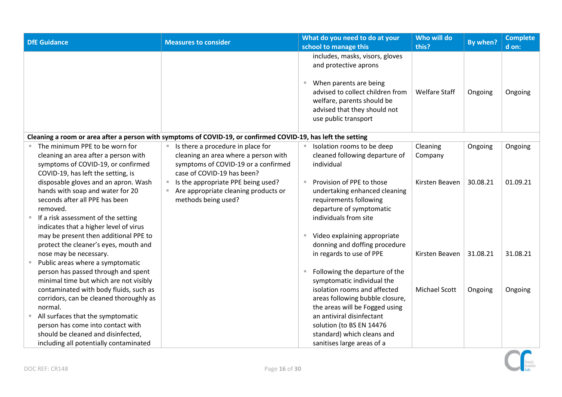<span id="page-15-0"></span>

| <b>DfE Guidance</b>                                                                                                                                                                                     | <b>Measures to consider</b>                                                                                                                    |   | What do you need to do at your<br>school to manage this                                                                                                                                                      | Who will do<br>this? | By when? | <b>Complete</b><br>d on: |
|---------------------------------------------------------------------------------------------------------------------------------------------------------------------------------------------------------|------------------------------------------------------------------------------------------------------------------------------------------------|---|--------------------------------------------------------------------------------------------------------------------------------------------------------------------------------------------------------------|----------------------|----------|--------------------------|
|                                                                                                                                                                                                         |                                                                                                                                                |   | includes, masks, visors, gloves<br>and protective aprons<br>When parents are being<br>advised to collect children from<br>welfare, parents should be<br>advised that they should not<br>use public transport | <b>Welfare Staff</b> | Ongoing  | Ongoing                  |
|                                                                                                                                                                                                         | Cleaning a room or area after a person with symptoms of COVID-19, or confirmed COVID-19, has left the setting                                  |   |                                                                                                                                                                                                              |                      |          |                          |
| The minimum PPE to be worn for<br>cleaning an area after a person with<br>symptoms of COVID-19, or confirmed<br>COVID-19, has left the setting, is                                                      | Is there a procedure in place for<br>cleaning an area where a person with<br>symptoms of COVID-19 or a confirmed<br>case of COVID-19 has been? |   | Isolation rooms to be deep<br>cleaned following departure of<br>individual                                                                                                                                   | Cleaning<br>Company  | Ongoing  | Ongoing                  |
| disposable gloves and an apron. Wash<br>hands with soap and water for 20<br>seconds after all PPE has been<br>removed.<br>If a risk assessment of the setting<br>indicates that a higher level of virus | Is the appropriate PPE being used?<br>Are appropriate cleaning products or<br>methods being used?                                              |   | Provision of PPE to those<br>undertaking enhanced cleaning<br>requirements following<br>departure of symptomatic<br>individuals from site                                                                    | Kirsten Beaven       | 30.08.21 | 01.09.21                 |
| may be present then additional PPE to<br>protect the cleaner's eyes, mouth and                                                                                                                          |                                                                                                                                                | ш | Video explaining appropriate<br>donning and doffing procedure                                                                                                                                                |                      |          |                          |
| nose may be necessary.<br>Public areas where a symptomatic<br>person has passed through and spent<br>minimal time but which are not visibly                                                             |                                                                                                                                                |   | in regards to use of PPE<br>Following the departure of the<br>symptomatic individual the                                                                                                                     | Kirsten Beaven       | 31.08.21 | 31.08.21                 |
| contaminated with body fluids, such as<br>corridors, can be cleaned thoroughly as<br>normal.                                                                                                            |                                                                                                                                                |   | isolation rooms and affected<br>areas following bubble closure,<br>the areas will be Fogged using                                                                                                            | <b>Michael Scott</b> | Ongoing  | Ongoing                  |
| All surfaces that the symptomatic<br>person has come into contact with<br>should be cleaned and disinfected,                                                                                            |                                                                                                                                                |   | an antiviral disinfectant<br>solution (to BS EN 14476<br>standard) which cleans and                                                                                                                          |                      |          |                          |
| including all potentially contaminated                                                                                                                                                                  |                                                                                                                                                |   | sanitises large areas of a                                                                                                                                                                                   |                      |          |                          |

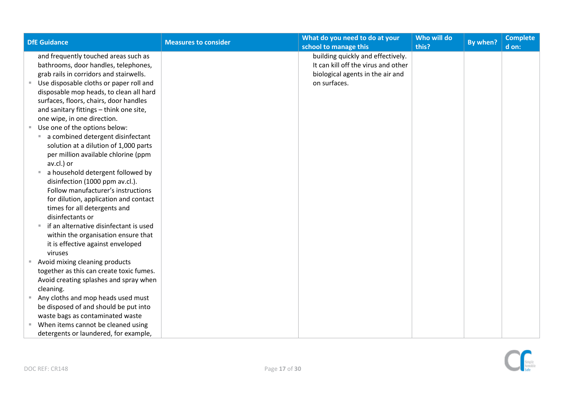| <b>DfE Guidance</b>                                                                                                                                                                                                                                             | <b>Measures to consider</b> | What do you need to do at your<br>school to manage this                                                                      | Who will do<br>this? | By when? | <b>Complete</b><br>d on: |
|-----------------------------------------------------------------------------------------------------------------------------------------------------------------------------------------------------------------------------------------------------------------|-----------------------------|------------------------------------------------------------------------------------------------------------------------------|----------------------|----------|--------------------------|
| and frequently touched areas such as<br>bathrooms, door handles, telephones,<br>grab rails in corridors and stairwells.                                                                                                                                         |                             | building quickly and effectively.<br>It can kill off the virus and other<br>biological agents in the air and<br>on surfaces. |                      |          |                          |
| Use disposable cloths or paper roll and<br>disposable mop heads, to clean all hard<br>surfaces, floors, chairs, door handles<br>and sanitary fittings - think one site,<br>one wipe, in one direction.                                                          |                             |                                                                                                                              |                      |          |                          |
| Use one of the options below:<br>a combined detergent disinfectant<br><b>COL</b><br>solution at a dilution of 1,000 parts<br>per million available chlorine (ppm                                                                                                |                             |                                                                                                                              |                      |          |                          |
| av.cl.) or<br>a household detergent followed by<br>disinfection (1000 ppm av.cl.).<br>Follow manufacturer's instructions<br>for dilution, application and contact<br>times for all detergents and<br>disinfectants or<br>if an alternative disinfectant is used |                             |                                                                                                                              |                      |          |                          |
| within the organisation ensure that<br>it is effective against enveloped<br>viruses                                                                                                                                                                             |                             |                                                                                                                              |                      |          |                          |
| Avoid mixing cleaning products<br>together as this can create toxic fumes.<br>Avoid creating splashes and spray when<br>cleaning.                                                                                                                               |                             |                                                                                                                              |                      |          |                          |
| Any cloths and mop heads used must<br>be disposed of and should be put into<br>waste bags as contaminated waste                                                                                                                                                 |                             |                                                                                                                              |                      |          |                          |
| When items cannot be cleaned using<br>detergents or laundered, for example,                                                                                                                                                                                     |                             |                                                                                                                              |                      |          |                          |

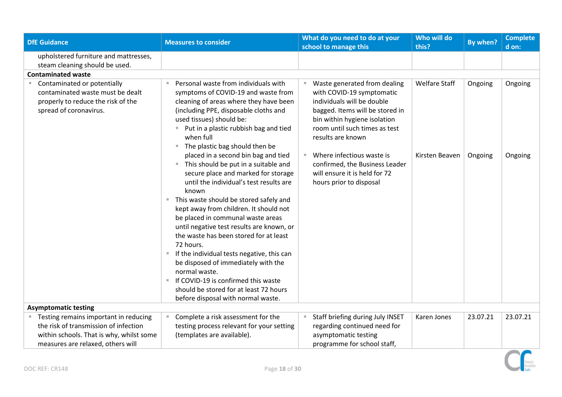<span id="page-17-0"></span>

| <b>DfE Guidance</b>                                                                                                               | <b>Measures to consider</b>                                                                                                                                                                                                                                                                                                                                                                                                                                                                                                                                                                                                                                                                                                                                                                                                                                                                                            | What do you need to do at your<br>school to manage this                                                                                                                                                                                                                                                                                           | Who will do<br>this?                   | By when?           | <b>Complete</b><br>d on: |
|-----------------------------------------------------------------------------------------------------------------------------------|------------------------------------------------------------------------------------------------------------------------------------------------------------------------------------------------------------------------------------------------------------------------------------------------------------------------------------------------------------------------------------------------------------------------------------------------------------------------------------------------------------------------------------------------------------------------------------------------------------------------------------------------------------------------------------------------------------------------------------------------------------------------------------------------------------------------------------------------------------------------------------------------------------------------|---------------------------------------------------------------------------------------------------------------------------------------------------------------------------------------------------------------------------------------------------------------------------------------------------------------------------------------------------|----------------------------------------|--------------------|--------------------------|
| upholstered furniture and mattresses,                                                                                             |                                                                                                                                                                                                                                                                                                                                                                                                                                                                                                                                                                                                                                                                                                                                                                                                                                                                                                                        |                                                                                                                                                                                                                                                                                                                                                   |                                        |                    |                          |
| steam cleaning should be used.                                                                                                    |                                                                                                                                                                                                                                                                                                                                                                                                                                                                                                                                                                                                                                                                                                                                                                                                                                                                                                                        |                                                                                                                                                                                                                                                                                                                                                   |                                        |                    |                          |
| <b>Contaminated waste</b>                                                                                                         |                                                                                                                                                                                                                                                                                                                                                                                                                                                                                                                                                                                                                                                                                                                                                                                                                                                                                                                        |                                                                                                                                                                                                                                                                                                                                                   |                                        |                    |                          |
| ■ Contaminated or potentially<br>contaminated waste must be dealt<br>properly to reduce the risk of the<br>spread of coronavirus. | Personal waste from individuals with<br>symptoms of COVID-19 and waste from<br>cleaning of areas where they have been<br>(including PPE, disposable cloths and<br>used tissues) should be:<br>■ Put in a plastic rubbish bag and tied<br>when full<br>The plastic bag should then be<br>$\mathbb{R}^+$<br>placed in a second bin bag and tied<br>This should be put in a suitable and<br>$\blacksquare$<br>secure place and marked for storage<br>until the individual's test results are<br>known<br>This waste should be stored safely and<br>kept away from children. It should not<br>be placed in communal waste areas<br>until negative test results are known, or<br>the waste has been stored for at least<br>72 hours.<br>If the individual tests negative, this can<br>be disposed of immediately with the<br>normal waste.<br>If COVID-19 is confirmed this waste<br>should be stored for at least 72 hours | Waste generated from dealing<br>×.<br>with COVID-19 symptomatic<br>individuals will be double<br>bagged. Items will be stored in<br>bin within hygiene isolation<br>room until such times as test<br>results are known<br>Where infectious waste is<br>confirmed, the Business Leader<br>will ensure it is held for 72<br>hours prior to disposal | <b>Welfare Staff</b><br>Kirsten Beaven | Ongoing<br>Ongoing | Ongoing<br>Ongoing       |
| <b>Asymptomatic testing</b>                                                                                                       | before disposal with normal waste.                                                                                                                                                                                                                                                                                                                                                                                                                                                                                                                                                                                                                                                                                                                                                                                                                                                                                     |                                                                                                                                                                                                                                                                                                                                                   |                                        |                    |                          |
| " Testing remains important in reducing                                                                                           | Complete a risk assessment for the                                                                                                                                                                                                                                                                                                                                                                                                                                                                                                                                                                                                                                                                                                                                                                                                                                                                                     | Staff briefing during July INSET                                                                                                                                                                                                                                                                                                                  | Karen Jones                            | 23.07.21           | 23.07.21                 |
| the risk of transmission of infection                                                                                             | testing process relevant for your setting                                                                                                                                                                                                                                                                                                                                                                                                                                                                                                                                                                                                                                                                                                                                                                                                                                                                              | regarding continued need for                                                                                                                                                                                                                                                                                                                      |                                        |                    |                          |
| within schools. That is why, whilst some                                                                                          | (templates are available).                                                                                                                                                                                                                                                                                                                                                                                                                                                                                                                                                                                                                                                                                                                                                                                                                                                                                             | asymptomatic testing                                                                                                                                                                                                                                                                                                                              |                                        |                    |                          |
| measures are relaxed, others will                                                                                                 |                                                                                                                                                                                                                                                                                                                                                                                                                                                                                                                                                                                                                                                                                                                                                                                                                                                                                                                        | programme for school staff,                                                                                                                                                                                                                                                                                                                       |                                        |                    |                          |

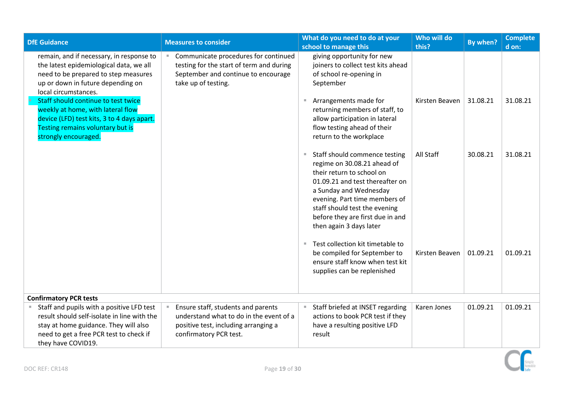<span id="page-18-0"></span>

| <b>DfE Guidance</b>                                                                                                                                                                                | <b>Measures to consider</b>                                                                                                                     | What do you need to do at your<br>school to manage this                                                                                                                                                                                                                                                   | Who will do<br>this? | By when? | <b>Complete</b><br>d on: |
|----------------------------------------------------------------------------------------------------------------------------------------------------------------------------------------------------|-------------------------------------------------------------------------------------------------------------------------------------------------|-----------------------------------------------------------------------------------------------------------------------------------------------------------------------------------------------------------------------------------------------------------------------------------------------------------|----------------------|----------|--------------------------|
| remain, and if necessary, in response to<br>the latest epidemiological data, we all<br>need to be prepared to step measures<br>up or down in future depending on<br>local circumstances.           | Communicate procedures for continued<br>testing for the start of term and during<br>September and continue to encourage<br>take up of testing.  | giving opportunity for new<br>joiners to collect test kits ahead<br>of school re-opening in<br>September                                                                                                                                                                                                  |                      |          |                          |
| Staff should continue to test twice<br>weekly at home, with lateral flow<br>device (LFD) test kits, 3 to 4 days apart.<br>Testing remains voluntary but is<br>strongly encouraged.                 |                                                                                                                                                 | Arrangements made for<br>returning members of staff, to<br>allow participation in lateral<br>flow testing ahead of their<br>return to the workplace                                                                                                                                                       | Kirsten Beaven       | 31.08.21 | 31.08.21                 |
|                                                                                                                                                                                                    |                                                                                                                                                 | Staff should commence testing<br>$\blacksquare$<br>regime on 30.08.21 ahead of<br>their return to school on<br>01.09.21 and test thereafter on<br>a Sunday and Wednesday<br>evening. Part time members of<br>staff should test the evening<br>before they are first due in and<br>then again 3 days later | All Staff            | 30.08.21 | 31.08.21                 |
|                                                                                                                                                                                                    |                                                                                                                                                 | Test collection kit timetable to<br>be compiled for September to<br>ensure staff know when test kit<br>supplies can be replenished                                                                                                                                                                        | Kirsten Beaven       | 01.09.21 | 01.09.21                 |
| <b>Confirmatory PCR tests</b>                                                                                                                                                                      |                                                                                                                                                 |                                                                                                                                                                                                                                                                                                           |                      |          |                          |
| Staff and pupils with a positive LFD test<br>result should self-isolate in line with the<br>stay at home guidance. They will also<br>need to get a free PCR test to check if<br>they have COVID19. | Ensure staff, students and parents<br>understand what to do in the event of a<br>positive test, including arranging a<br>confirmatory PCR test. | Staff briefed at INSET regarding<br>actions to book PCR test if they<br>have a resulting positive LFD<br>result                                                                                                                                                                                           | Karen Jones          | 01.09.21 | 01.09.21                 |

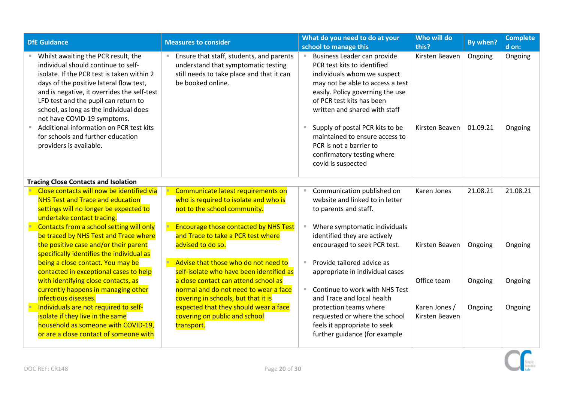| <b>DfE Guidance</b>                                                                                                                                                                                                                                                                                                                                                                                                                            | <b>Measures to consider</b>                                                                                                                       | What do you need to do at your<br>school to manage this                                                                                                                                                                                                                                                                                                                             | Who will do<br>this?             | By when?            | <b>Complete</b><br>d on: |
|------------------------------------------------------------------------------------------------------------------------------------------------------------------------------------------------------------------------------------------------------------------------------------------------------------------------------------------------------------------------------------------------------------------------------------------------|---------------------------------------------------------------------------------------------------------------------------------------------------|-------------------------------------------------------------------------------------------------------------------------------------------------------------------------------------------------------------------------------------------------------------------------------------------------------------------------------------------------------------------------------------|----------------------------------|---------------------|--------------------------|
| Whilst awaiting the PCR result, the<br>individual should continue to self-<br>isolate. If the PCR test is taken within 2<br>days of the positive lateral flow test,<br>and is negative, it overrides the self-test<br>LFD test and the pupil can return to<br>school, as long as the individual does<br>not have COVID-19 symptoms.<br>Additional information on PCR test kits<br>for schools and further education<br>providers is available. | Ensure that staff, students, and parents<br>understand that symptomatic testing<br>still needs to take place and that it can<br>be booked online. | Business Leader can provide<br>PCR test kits to identified<br>individuals whom we suspect<br>may not be able to access a test<br>easily. Policy governing the use<br>of PCR test kits has been<br>written and shared with staff<br>Supply of postal PCR kits to be<br>maintained to ensure access to<br>PCR is not a barrier to<br>confirmatory testing where<br>covid is suspected | Kirsten Beaven<br>Kirsten Beaven | Ongoing<br>01.09.21 | Ongoing<br>Ongoing       |
| <b>Tracing Close Contacts and Isolation</b>                                                                                                                                                                                                                                                                                                                                                                                                    |                                                                                                                                                   |                                                                                                                                                                                                                                                                                                                                                                                     |                                  |                     |                          |
| Close contacts will now be identified via<br><b>NHS Test and Trace and education</b><br>settings will no longer be expected to<br>undertake contact tracing.                                                                                                                                                                                                                                                                                   | Communicate latest requirements on<br>who is required to isolate and who is<br>not to the school community.                                       | Communication published on<br>website and linked to in letter<br>to parents and staff.                                                                                                                                                                                                                                                                                              | Karen Jones                      | 21.08.21            | 21.08.21                 |
| Contacts from a school setting will only<br>be traced by NHS Test and Trace where<br>the positive case and/or their parent<br>specifically identifies the individual as                                                                                                                                                                                                                                                                        | <b>Encourage those contacted by NHS Test</b><br>and Trace to take a PCR test where<br>advised to do so.                                           | Where symptomatic individuals<br>identified they are actively<br>encouraged to seek PCR test.                                                                                                                                                                                                                                                                                       | Kirsten Beaven                   | Ongoing             | Ongoing                  |
| being a close contact. You may be<br>contacted in exceptional cases to help                                                                                                                                                                                                                                                                                                                                                                    | Advise that those who do not need to<br>self-isolate who have been identified as                                                                  | Provide tailored advice as<br>appropriate in individual cases                                                                                                                                                                                                                                                                                                                       |                                  |                     |                          |
| with identifying close contacts, as<br>currently happens in managing other<br>infectious diseases.                                                                                                                                                                                                                                                                                                                                             | a close contact can attend school as<br>normal and do not need to wear a face<br>covering in schools, but that it is                              | Continue to work with NHS Test<br>and Trace and local health                                                                                                                                                                                                                                                                                                                        | Office team                      | Ongoing             | Ongoing                  |
| Individuals are not required to self-<br>isolate if they live in the same<br>household as someone with COVID-19.<br>or are a close contact of someone with                                                                                                                                                                                                                                                                                     | expected that they should wear a face<br>covering on public and school<br>transport.                                                              | protection teams where<br>requested or where the school<br>feels it appropriate to seek<br>further guidance (for example                                                                                                                                                                                                                                                            | Karen Jones /<br>Kirsten Beaven  | Ongoing             | Ongoing                  |

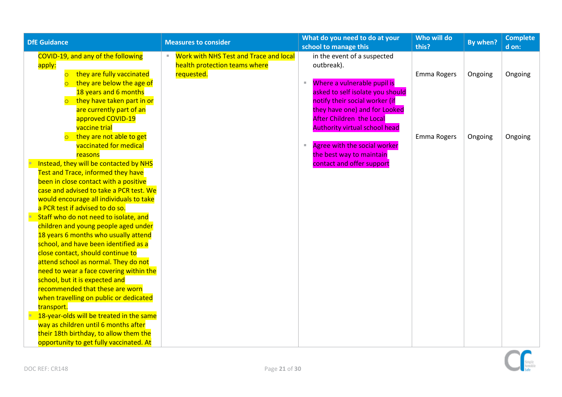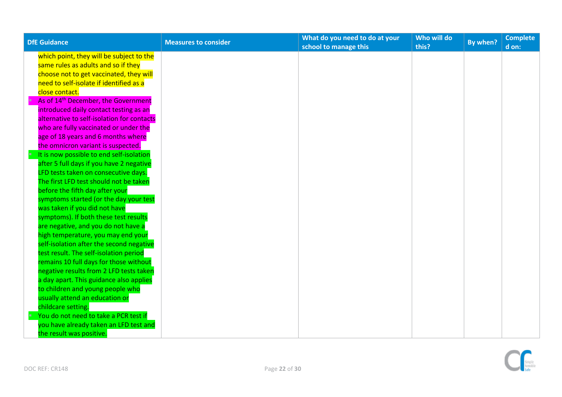| <b>DfE Guidance</b>                             | <b>Measures to consider</b> | What do you need to do at your | Who will do | By when? | <b>Complete</b> |
|-------------------------------------------------|-----------------------------|--------------------------------|-------------|----------|-----------------|
|                                                 |                             | school to manage this          | this?       |          | d on:           |
| which point, they will be subject to the        |                             |                                |             |          |                 |
| same rules as adults and so if they             |                             |                                |             |          |                 |
| choose not to get vaccinated, they will         |                             |                                |             |          |                 |
| need to self-isolate if identified as a         |                             |                                |             |          |                 |
| close contact.                                  |                             |                                |             |          |                 |
| As of 14 <sup>th</sup> December, the Government |                             |                                |             |          |                 |
| introduced daily contact testing as an          |                             |                                |             |          |                 |
| alternative to self-isolation for contacts      |                             |                                |             |          |                 |
| who are fully vaccinated or under the           |                             |                                |             |          |                 |
| age of 18 years and 6 months where              |                             |                                |             |          |                 |
| the omnicron variant is suspected.              |                             |                                |             |          |                 |
| It is now possible to end self-isolation        |                             |                                |             |          |                 |
| after 5 full days if you have 2 negative        |                             |                                |             |          |                 |
| LFD tests taken on consecutive days.            |                             |                                |             |          |                 |
| The first LFD test should not be taken          |                             |                                |             |          |                 |
| before the fifth day after your                 |                             |                                |             |          |                 |
| symptoms started (or the day your test          |                             |                                |             |          |                 |
| was taken if you did not have                   |                             |                                |             |          |                 |
| symptoms). If both these test results           |                             |                                |             |          |                 |
| are negative, and you do not have a             |                             |                                |             |          |                 |
| high temperature, you may end your              |                             |                                |             |          |                 |
| self-isolation after the second negative        |                             |                                |             |          |                 |
| test result. The self-isolation period          |                             |                                |             |          |                 |
| remains 10 full days for those without          |                             |                                |             |          |                 |
| negative results from 2 LFD tests taken         |                             |                                |             |          |                 |
| a day apart. This guidance also applies         |                             |                                |             |          |                 |
| to children and young people who                |                             |                                |             |          |                 |
| usually attend an education or                  |                             |                                |             |          |                 |
| childcare setting.                              |                             |                                |             |          |                 |
| You do not need to take a PCR test if           |                             |                                |             |          |                 |
| you have already taken an LFD test and          |                             |                                |             |          |                 |
| the result was positive.                        |                             |                                |             |          |                 |

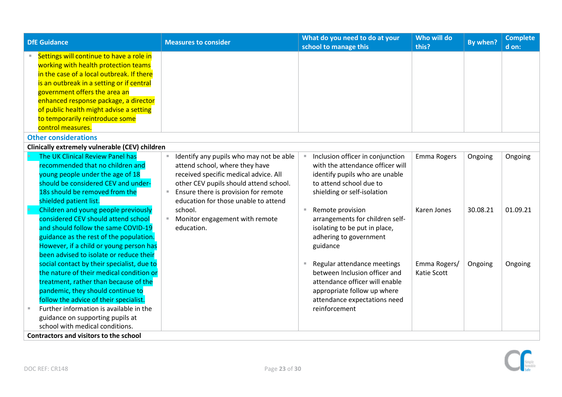<span id="page-22-2"></span><span id="page-22-1"></span><span id="page-22-0"></span>

| <b>DfE Guidance</b>                            |   | <b>Measures to consider</b>             |   | What do you need to do at your<br>school to manage this | Who will do<br>this? | By when? | <b>Complete</b><br>d on: |
|------------------------------------------------|---|-----------------------------------------|---|---------------------------------------------------------|----------------------|----------|--------------------------|
| Settings will continue to have a role in       |   |                                         |   |                                                         |                      |          |                          |
| working with health protection teams           |   |                                         |   |                                                         |                      |          |                          |
| in the case of a local outbreak. If there      |   |                                         |   |                                                         |                      |          |                          |
| is an outbreak in a setting or if central      |   |                                         |   |                                                         |                      |          |                          |
| government offers the area an                  |   |                                         |   |                                                         |                      |          |                          |
| enhanced response package, a director          |   |                                         |   |                                                         |                      |          |                          |
| of public health might advise a setting        |   |                                         |   |                                                         |                      |          |                          |
| to temporarily reintroduce some                |   |                                         |   |                                                         |                      |          |                          |
| control measures.                              |   |                                         |   |                                                         |                      |          |                          |
| <b>Other considerations</b>                    |   |                                         |   |                                                         |                      |          |                          |
| Clinically extremely vulnerable (CEV) children |   |                                         |   |                                                         |                      |          |                          |
| The UK Clinical Review Panel has               |   | Identify any pupils who may not be able |   | Inclusion officer in conjunction                        | Emma Rogers          | Ongoing  | Ongoing                  |
| recommended that no children and               |   | attend school, where they have          |   | with the attendance officer will                        |                      |          |                          |
| young people under the age of 18               |   | received specific medical advice. All   |   | identify pupils who are unable                          |                      |          |                          |
| should be considered CEV and under-            |   | other CEV pupils should attend school.  |   | to attend school due to                                 |                      |          |                          |
| 18s should be removed from the                 | ш | Ensure there is provision for remote    |   | shielding or self-isolation                             |                      |          |                          |
| shielded patient list.                         |   | education for those unable to attend    |   |                                                         |                      |          |                          |
| Children and young people previously           |   | school.                                 | П | Remote provision                                        | Karen Jones          | 30.08.21 | 01.09.21                 |
| considered CEV should attend school            |   | Monitor engagement with remote          |   | arrangements for children self-                         |                      |          |                          |
| and should follow the same COVID-19            |   | education.                              |   | isolating to be put in place,                           |                      |          |                          |
| guidance as the rest of the population.        |   |                                         |   | adhering to government                                  |                      |          |                          |
| However, if a child or young person has        |   |                                         |   | guidance                                                |                      |          |                          |
| been advised to isolate or reduce their        |   |                                         |   |                                                         |                      |          |                          |
| social contact by their specialist, due to     |   |                                         |   | Regular attendance meetings                             | Emma Rogers/         | Ongoing  | Ongoing                  |
| the nature of their medical condition or       |   |                                         |   | between Inclusion officer and                           | Katie Scott          |          |                          |
| treatment, rather than because of the          |   |                                         |   | attendance officer will enable                          |                      |          |                          |
| pandemic, they should continue to              |   |                                         |   | appropriate follow up where                             |                      |          |                          |
| follow the advice of their specialist.         |   |                                         |   | attendance expectations need                            |                      |          |                          |
| Further information is available in the        |   |                                         |   | reinforcement                                           |                      |          |                          |
| guidance on supporting pupils at               |   |                                         |   |                                                         |                      |          |                          |
| school with medical conditions.                |   |                                         |   |                                                         |                      |          |                          |
| <b>Contractors and visitors to the school</b>  |   |                                         |   |                                                         |                      |          |                          |

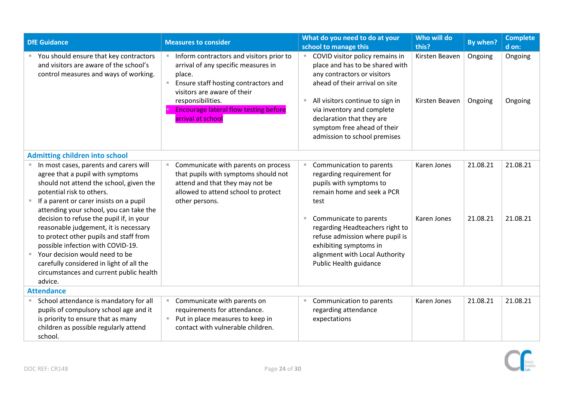<span id="page-23-1"></span><span id="page-23-0"></span>

|                   | <b>DfE Guidance</b>                                                                                                                                                                                                                                                                                                                                                                                                                                                                                                                              | <b>Measures to consider</b>                                                                                                                                                                                                                                          | Who will do<br>What do you need to do at your<br>school to manage this<br>this?                                                                                                                                                                                                                                                                       | By when?             | <b>Complete</b><br>d on: |
|-------------------|--------------------------------------------------------------------------------------------------------------------------------------------------------------------------------------------------------------------------------------------------------------------------------------------------------------------------------------------------------------------------------------------------------------------------------------------------------------------------------------------------------------------------------------------------|----------------------------------------------------------------------------------------------------------------------------------------------------------------------------------------------------------------------------------------------------------------------|-------------------------------------------------------------------------------------------------------------------------------------------------------------------------------------------------------------------------------------------------------------------------------------------------------------------------------------------------------|----------------------|--------------------------|
|                   | You should ensure that key contractors<br>and visitors are aware of the school's<br>control measures and ways of working.                                                                                                                                                                                                                                                                                                                                                                                                                        | Inform contractors and visitors prior to<br>arrival of any specific measures in<br>place.<br>Ensure staff hosting contractors and<br>$\Box$<br>visitors are aware of their<br>responsibilities.<br><b>Encourage lateral flow testing before</b><br>arrival at school | COVID visitor policy remains in<br>Kirsten Beaven<br>place and has to be shared with<br>any contractors or visitors<br>ahead of their arrival on site<br>All visitors continue to sign in<br>Kirsten Beaven<br>$\mathbb{R}$<br>via inventory and complete<br>declaration that they are<br>symptom free ahead of their<br>admission to school premises | Ongoing<br>Ongoing   | Ongoing<br>Ongoing       |
|                   | <b>Admitting children into school</b>                                                                                                                                                                                                                                                                                                                                                                                                                                                                                                            |                                                                                                                                                                                                                                                                      |                                                                                                                                                                                                                                                                                                                                                       |                      |                          |
|                   | In most cases, parents and carers will<br>agree that a pupil with symptoms<br>should not attend the school, given the<br>potential risk to others.<br>If a parent or carer insists on a pupil<br>attending your school, you can take the<br>decision to refuse the pupil if, in your<br>reasonable judgement, it is necessary<br>to protect other pupils and staff from<br>possible infection with COVID-19.<br>Your decision would need to be<br>carefully considered in light of all the<br>circumstances and current public health<br>advice. | Communicate with parents on process<br>that pupils with symptoms should not<br>attend and that they may not be<br>allowed to attend school to protect<br>other persons.                                                                                              | Karen Jones<br>Communication to parents<br>regarding requirement for<br>pupils with symptoms to<br>remain home and seek a PCR<br>test<br>Karen Jones<br>Communicate to parents<br>regarding Headteachers right to<br>refuse admission where pupil is<br>exhibiting symptoms in<br>alignment with Local Authority<br>Public Health guidance            | 21.08.21<br>21.08.21 | 21.08.21<br>21.08.21     |
| <b>Attendance</b> |                                                                                                                                                                                                                                                                                                                                                                                                                                                                                                                                                  |                                                                                                                                                                                                                                                                      |                                                                                                                                                                                                                                                                                                                                                       |                      |                          |
|                   | School attendance is mandatory for all<br>pupils of compulsory school age and it<br>is priority to ensure that as many<br>children as possible regularly attend<br>school.                                                                                                                                                                                                                                                                                                                                                                       | Communicate with parents on<br>requirements for attendance.<br>■ Put in place measures to keep in<br>contact with vulnerable children.                                                                                                                               | Communication to parents<br>Karen Jones<br>regarding attendance<br>expectations                                                                                                                                                                                                                                                                       | 21.08.21             | 21.08.21                 |

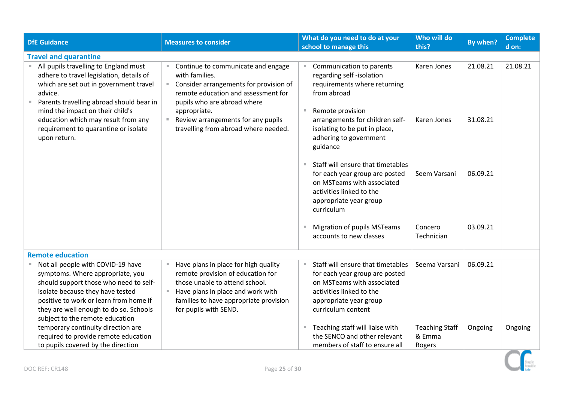<span id="page-24-1"></span><span id="page-24-0"></span>

| <b>DfE Guidance</b>                                                                                                                                                                                                                                                        | <b>Measures to consider</b>                                                                                                                                                                                         | What do you need to do at your<br>school to manage this                                                                                                                       | Who will do<br>this?                      | By when? | <b>Complete</b><br>d on: |
|----------------------------------------------------------------------------------------------------------------------------------------------------------------------------------------------------------------------------------------------------------------------------|---------------------------------------------------------------------------------------------------------------------------------------------------------------------------------------------------------------------|-------------------------------------------------------------------------------------------------------------------------------------------------------------------------------|-------------------------------------------|----------|--------------------------|
| <b>Travel and quarantine</b>                                                                                                                                                                                                                                               |                                                                                                                                                                                                                     |                                                                                                                                                                               |                                           |          |                          |
| All pupils travelling to England must<br>adhere to travel legislation, details of<br>which are set out in government travel<br>advice.<br>Parents travelling abroad should bear in<br>mind the impact on their child's                                                     | ■ Continue to communicate and engage<br>with families.<br>Consider arrangements for provision of<br>m.<br>remote education and assessment for<br>pupils who are abroad where<br>appropriate.                        | Communication to parents<br>regarding self-isolation<br>requirements where returning<br>from abroad<br>Remote provision                                                       | Karen Jones                               | 21.08.21 | 21.08.21                 |
| education which may result from any<br>requirement to quarantine or isolate<br>upon return.                                                                                                                                                                                | ■ Review arrangements for any pupils<br>travelling from abroad where needed.                                                                                                                                        | arrangements for children self-<br>isolating to be put in place,<br>adhering to government<br>guidance                                                                        | Karen Jones                               | 31.08.21 |                          |
|                                                                                                                                                                                                                                                                            |                                                                                                                                                                                                                     | Staff will ensure that timetables<br>for each year group are posted<br>on MSTeams with associated<br>activities linked to the<br>appropriate year group<br>curriculum         | Seem Varsani                              | 06.09.21 |                          |
|                                                                                                                                                                                                                                                                            |                                                                                                                                                                                                                     | <b>Migration of pupils MSTeams</b><br>accounts to new classes                                                                                                                 | Concero<br>Technician                     | 03.09.21 |                          |
| <b>Remote education</b>                                                                                                                                                                                                                                                    |                                                                                                                                                                                                                     |                                                                                                                                                                               |                                           |          |                          |
| Not all people with COVID-19 have<br>symptoms. Where appropriate, you<br>should support those who need to self-<br>isolate because they have tested<br>positive to work or learn from home if<br>they are well enough to do so. Schools<br>subject to the remote education | Have plans in place for high quality<br>remote provision of education for<br>those unable to attend school.<br>Have plans in place and work with<br>families to have appropriate provision<br>for pupils with SEND. | Staff will ensure that timetables<br>for each year group are posted<br>on MSTeams with associated<br>activities linked to the<br>appropriate year group<br>curriculum content | Seema Varsani                             | 06.09.21 |                          |
| temporary continuity direction are<br>required to provide remote education<br>to pupils covered by the direction                                                                                                                                                           |                                                                                                                                                                                                                     | Teaching staff will liaise with<br>the SENCO and other relevant<br>members of staff to ensure all                                                                             | <b>Teaching Staff</b><br>& Emma<br>Rogers | Ongoing  | Ongoing                  |

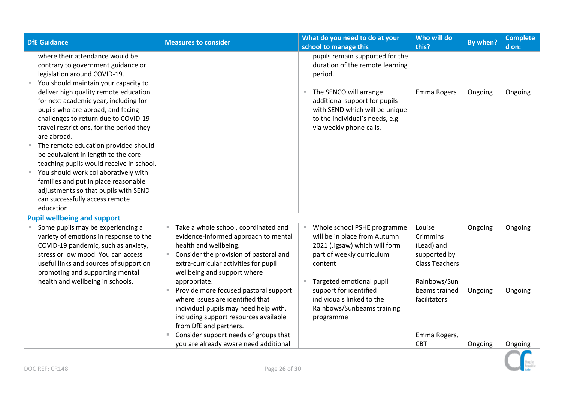<span id="page-25-0"></span>

| <b>DfE Guidance</b>                                                                                                                                                                                                                                                                                                                                                                                                                                                                                                                                                                                                                                          | <b>Measures to consider</b>                                                                                                                                                                                                                                                             | What do you need to do at your<br>school to manage this                                                                                                                                                                                  | Who will do<br>this?                                                        | By when?           | <b>Complete</b><br>d on: |
|--------------------------------------------------------------------------------------------------------------------------------------------------------------------------------------------------------------------------------------------------------------------------------------------------------------------------------------------------------------------------------------------------------------------------------------------------------------------------------------------------------------------------------------------------------------------------------------------------------------------------------------------------------------|-----------------------------------------------------------------------------------------------------------------------------------------------------------------------------------------------------------------------------------------------------------------------------------------|------------------------------------------------------------------------------------------------------------------------------------------------------------------------------------------------------------------------------------------|-----------------------------------------------------------------------------|--------------------|--------------------------|
| where their attendance would be<br>contrary to government guidance or<br>legislation around COVID-19.<br>You should maintain your capacity to<br>deliver high quality remote education<br>for next academic year, including for<br>pupils who are abroad, and facing<br>challenges to return due to COVID-19<br>travel restrictions, for the period they<br>are abroad.<br>The remote education provided should<br>be equivalent in length to the core<br>teaching pupils would receive in school.<br>You should work collaboratively with<br>families and put in place reasonable<br>adjustments so that pupils with SEND<br>can successfully access remote |                                                                                                                                                                                                                                                                                         | pupils remain supported for the<br>duration of the remote learning<br>period.<br>The SENCO will arrange<br>additional support for pupils<br>with SEND which will be unique<br>to the individual's needs, e.g.<br>via weekly phone calls. | Emma Rogers                                                                 | Ongoing            | Ongoing                  |
| education.<br><b>Pupil wellbeing and support</b>                                                                                                                                                                                                                                                                                                                                                                                                                                                                                                                                                                                                             |                                                                                                                                                                                                                                                                                         |                                                                                                                                                                                                                                          |                                                                             |                    |                          |
| Some pupils may be experiencing a<br>variety of emotions in response to the<br>COVID-19 pandemic, such as anxiety,<br>stress or low mood. You can access<br>useful links and sources of support on<br>promoting and supporting mental                                                                                                                                                                                                                                                                                                                                                                                                                        | Take a whole school, coordinated and<br>evidence-informed approach to mental<br>health and wellbeing.<br>Consider the provision of pastoral and<br>extra-curricular activities for pupil<br>wellbeing and support where                                                                 | Whole school PSHE programme<br>will be in place from Autumn<br>2021 (Jigsaw) which will form<br>part of weekly curriculum<br>content                                                                                                     | Louise<br>Crimmins<br>(Lead) and<br>supported by<br><b>Class Teachers</b>   | Ongoing            | Ongoing                  |
| health and wellbeing in schools.                                                                                                                                                                                                                                                                                                                                                                                                                                                                                                                                                                                                                             | appropriate.<br>Provide more focused pastoral support<br>where issues are identified that<br>individual pupils may need help with,<br>including support resources available<br>from DfE and partners.<br>Consider support needs of groups that<br>you are already aware need additional | Targeted emotional pupil<br>support for identified<br>individuals linked to the<br>Rainbows/Sunbeams training<br>programme                                                                                                               | Rainbows/Sun<br>beams trained<br>facilitators<br>Emma Rogers,<br><b>CBT</b> | Ongoing<br>Ongoing | Ongoing<br>Ongoing       |

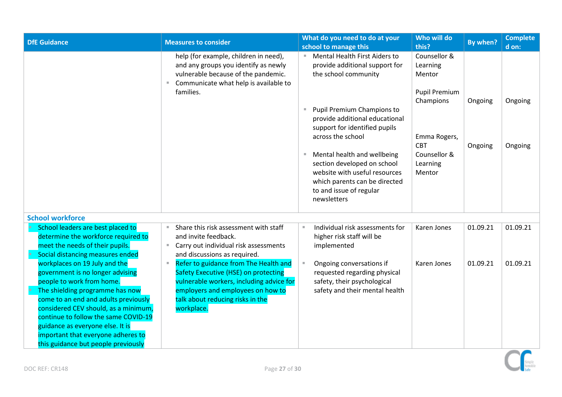<span id="page-26-0"></span>

| <b>DfE Guidance</b>                                                                                                                                                                                                                                                                                                                                                        | <b>Measures to consider</b>                                                                                                                                                                                            | What do you need to do at your<br>school to manage this                                                                                                                              | Who will do<br>this?                                | By when? | <b>Complete</b><br>d on: |
|----------------------------------------------------------------------------------------------------------------------------------------------------------------------------------------------------------------------------------------------------------------------------------------------------------------------------------------------------------------------------|------------------------------------------------------------------------------------------------------------------------------------------------------------------------------------------------------------------------|--------------------------------------------------------------------------------------------------------------------------------------------------------------------------------------|-----------------------------------------------------|----------|--------------------------|
|                                                                                                                                                                                                                                                                                                                                                                            | help (for example, children in need),<br>and any groups you identify as newly<br>vulnerable because of the pandemic.<br>Communicate what help is available to<br>families.                                             | Mental Health First Aiders to<br>provide additional support for<br>the school community                                                                                              | Counsellor &<br>Learning<br>Mentor<br>Pupil Premium |          |                          |
|                                                                                                                                                                                                                                                                                                                                                                            |                                                                                                                                                                                                                        | Pupil Premium Champions to<br>provide additional educational<br>support for identified pupils<br>across the school                                                                   | Champions<br>Emma Rogers,                           | Ongoing  | Ongoing                  |
|                                                                                                                                                                                                                                                                                                                                                                            |                                                                                                                                                                                                                        | Mental health and wellbeing<br><b>COL</b><br>section developed on school<br>website with useful resources<br>which parents can be directed<br>to and issue of regular<br>newsletters | <b>CBT</b><br>Counsellor &<br>Learning<br>Mentor    | Ongoing  | Ongoing                  |
| <b>School workforce</b>                                                                                                                                                                                                                                                                                                                                                    |                                                                                                                                                                                                                        |                                                                                                                                                                                      |                                                     |          |                          |
| School leaders are best placed to<br>determine the workforce required to<br>meet the needs of their pupils.<br>Social distancing measures ended                                                                                                                                                                                                                            | Share this risk assessment with staff<br>and invite feedback.<br>■ Carry out individual risk assessments<br>and discussions as required.                                                                               | Individual risk assessments for<br><b>II</b><br>higher risk staff will be<br>implemented                                                                                             | Karen Jones                                         | 01.09.21 | 01.09.21                 |
| workplaces on 19 July and the<br>government is no longer advising<br>people to work from home.<br>The shielding programme has now<br>come to an end and adults previously<br>considered CEV should, as a minimum,<br>continue to follow the same COVID-19<br>guidance as everyone else. It is<br>important that everyone adheres to<br>this guidance but people previously | Refer to guidance from The Health and<br>Ξ.<br>Safety Executive (HSE) on protecting<br>vulnerable workers, including advice for<br>employers and employees on how to<br>talk about reducing risks in the<br>workplace. | Ongoing conversations if<br>requested regarding physical<br>safety, their psychological<br>safety and their mental health                                                            | Karen Jones                                         | 01.09.21 | 01.09.21                 |

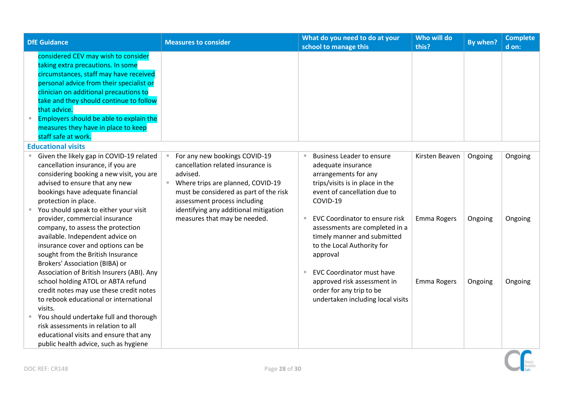<span id="page-27-0"></span>

| <b>DfE Guidance</b>                                                                                                                                                                                                                                                                                                                                                          | <b>Measures to consider</b>                                                                                                                                                                                                                  | What do you need to do at your<br>school to manage this                                                                                                                                                                | Who will do<br>this? | By when? | <b>Complete</b><br>d on: |
|------------------------------------------------------------------------------------------------------------------------------------------------------------------------------------------------------------------------------------------------------------------------------------------------------------------------------------------------------------------------------|----------------------------------------------------------------------------------------------------------------------------------------------------------------------------------------------------------------------------------------------|------------------------------------------------------------------------------------------------------------------------------------------------------------------------------------------------------------------------|----------------------|----------|--------------------------|
| considered CEV may wish to consider<br>taking extra precautions. In some<br>circumstances, staff may have received<br>personal advice from their specialist or<br>clinician on additional precautions to<br>take and they should continue to follow<br>that advice.<br>Employers should be able to explain the<br>measures they have in place to keep<br>staff safe at work. |                                                                                                                                                                                                                                              |                                                                                                                                                                                                                        |                      |          |                          |
| <b>Educational visits</b>                                                                                                                                                                                                                                                                                                                                                    |                                                                                                                                                                                                                                              |                                                                                                                                                                                                                        |                      |          |                          |
| Given the likely gap in COVID-19 related<br>cancellation insurance, if you are<br>considering booking a new visit, you are<br>advised to ensure that any new<br>bookings have adequate financial<br>protection in place.<br>You should speak to either your visit                                                                                                            | For any new bookings COVID-19<br>cancellation related insurance is<br>advised.<br>Where trips are planned, COVID-19<br>×.<br>must be considered as part of the risk<br>assessment process including<br>identifying any additional mitigation | <b>Business Leader to ensure</b><br>$\blacksquare$<br>adequate insurance<br>arrangements for any<br>trips/visits is in place in the<br>event of cancellation due to<br>COVID-19                                        | Kirsten Beaven       | Ongoing  | Ongoing                  |
| provider, commercial insurance<br>company, to assess the protection<br>available. Independent advice on<br>insurance cover and options can be<br>sought from the British Insurance<br>Brokers' Association (BIBA) or<br>Association of British Insurers (ABI). Any                                                                                                           | measures that may be needed.                                                                                                                                                                                                                 | <b>EVC Coordinator to ensure risk</b><br>$\blacksquare$<br>assessments are completed in a<br>timely manner and submitted<br>to the Local Authority for<br>approval<br><b>EVC Coordinator must have</b><br>$\mathbb{R}$ | Emma Rogers          | Ongoing  | Ongoing                  |
| school holding ATOL or ABTA refund<br>credit notes may use these credit notes<br>to rebook educational or international<br>visits.<br>You should undertake full and thorough<br>risk assessments in relation to all<br>educational visits and ensure that any<br>public health advice, such as hygiene                                                                       |                                                                                                                                                                                                                                              | approved risk assessment in<br>order for any trip to be<br>undertaken including local visits                                                                                                                           | Emma Rogers          | Ongoing  | Ongoing                  |

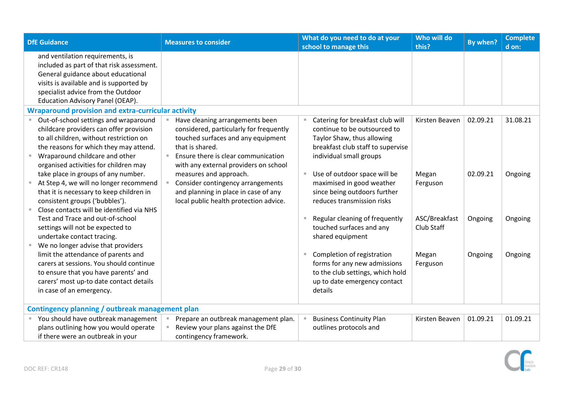<span id="page-28-1"></span><span id="page-28-0"></span>

| <b>DfE Guidance</b>                                                                                                                                                                                                                                | <b>Measures to consider</b>                                                                                                                                                                                         | What do you need to do at your<br>school to manage this                                                                                                        | Who will do<br>this?        | By when? | <b>Complete</b><br>d on: |  |
|----------------------------------------------------------------------------------------------------------------------------------------------------------------------------------------------------------------------------------------------------|---------------------------------------------------------------------------------------------------------------------------------------------------------------------------------------------------------------------|----------------------------------------------------------------------------------------------------------------------------------------------------------------|-----------------------------|----------|--------------------------|--|
| and ventilation requirements, is<br>included as part of that risk assessment.<br>General guidance about educational<br>visits is available and is supported by<br>specialist advice from the Outdoor<br>Education Advisory Panel (OEAP).           |                                                                                                                                                                                                                     |                                                                                                                                                                |                             |          |                          |  |
| <b>Wraparound provision and extra-curricular activity</b>                                                                                                                                                                                          |                                                                                                                                                                                                                     |                                                                                                                                                                |                             |          |                          |  |
| ■ Out-of-school settings and wraparound<br>childcare providers can offer provision<br>to all children, without restriction on<br>the reasons for which they may attend.<br>Wraparound childcare and other<br>organised activities for children may | Have cleaning arrangements been<br>considered, particularly for frequently<br>touched surfaces and any equipment<br>that is shared.<br>Ensure there is clear communication<br>with any external providers on school | Catering for breakfast club will<br>continue to be outsourced to<br>Taylor Shaw, thus allowing<br>breakfast club staff to supervise<br>individual small groups | Kirsten Beaven              | 02.09.21 | 31.08.21                 |  |
| take place in groups of any number.<br>At Step 4, we will no longer recommend<br>that it is necessary to keep children in<br>consistent groups ('bubbles').<br>Close contacts will be identified via NHS                                           | measures and approach.<br>Consider contingency arrangements<br>and planning in place in case of any<br>local public health protection advice.                                                                       | Use of outdoor space will be<br>$\blacksquare$<br>maximised in good weather<br>since being outdoors further<br>reduces transmission risks                      | Megan<br>Ferguson           | 02.09.21 | Ongoing                  |  |
| Test and Trace and out-of-school<br>settings will not be expected to<br>undertake contact tracing.                                                                                                                                                 |                                                                                                                                                                                                                     | Regular cleaning of frequently<br>touched surfaces and any<br>shared equipment                                                                                 | ASC/Breakfast<br>Club Staff | Ongoing  | Ongoing                  |  |
| We no longer advise that providers<br>limit the attendance of parents and<br>carers at sessions. You should continue<br>to ensure that you have parents' and<br>carers' most up-to date contact details<br>in case of an emergency.                |                                                                                                                                                                                                                     | Completion of registration<br>ш<br>forms for any new admissions<br>to the club settings, which hold<br>up to date emergency contact<br>details                 | Megan<br>Ferguson           | Ongoing  | Ongoing                  |  |
| Contingency planning / outbreak management plan                                                                                                                                                                                                    |                                                                                                                                                                                                                     |                                                                                                                                                                |                             |          |                          |  |
| You should have outbreak management<br>plans outlining how you would operate<br>if there were an outbreak in your                                                                                                                                  | Prepare an outbreak management plan.<br>Review your plans against the DfE<br>contingency framework.                                                                                                                 | <b>Business Continuity Plan</b><br>outlines protocols and                                                                                                      | Kirsten Beaven              | 01.09.21 | 01.09.21                 |  |